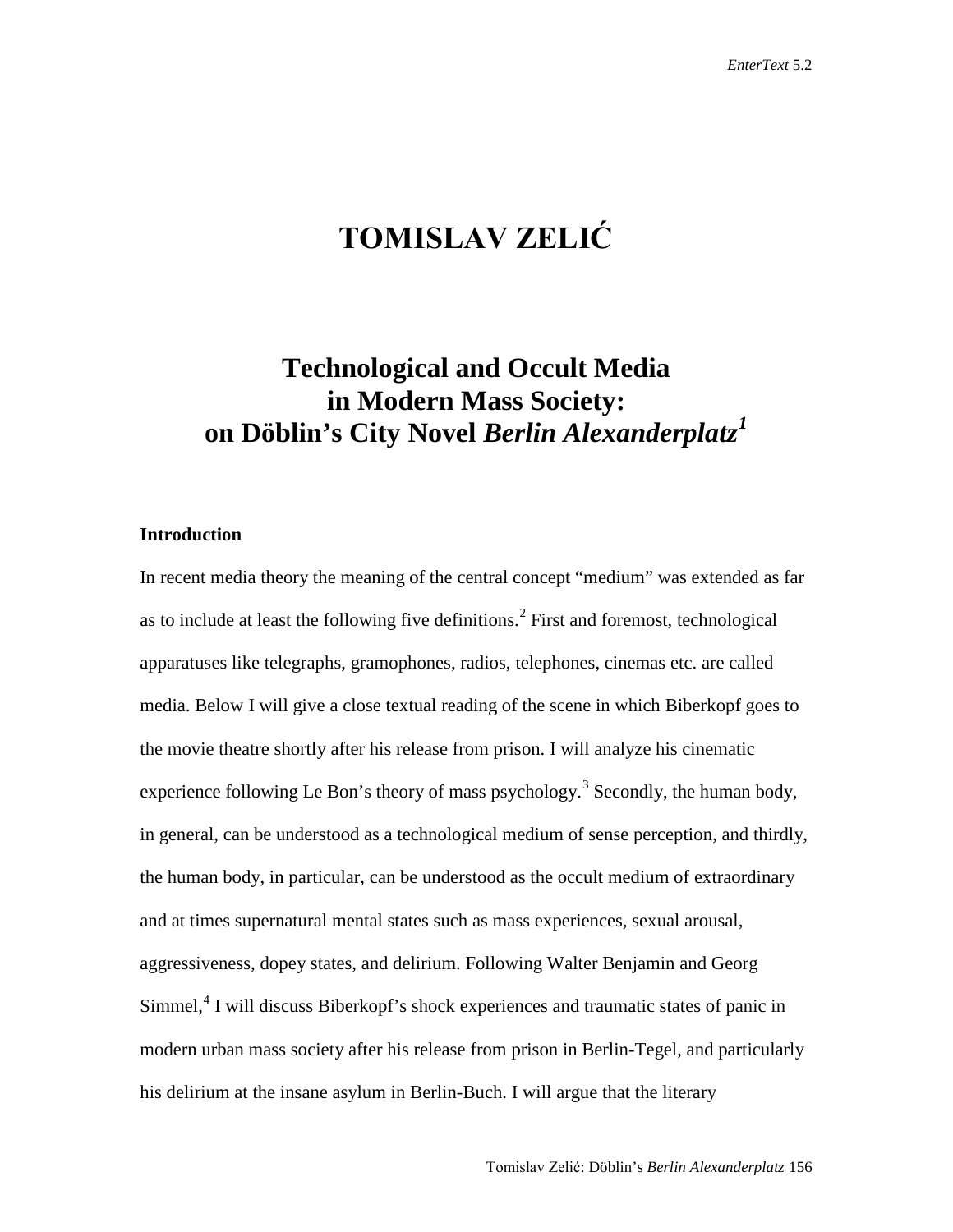# **TOMISLAV ZELIĆ**

## **Technological and Occult Media in Modern Mass Society: on Döblin's City Novel** *Berlin Alexanderplatz[1](#page-18-0)*

#### **Introduction**

In recent media theory the meaning of the central concept "medium" was extended as far as to include at least the following five definitions.<sup>[2](#page-18-1)</sup> First and foremost, technological apparatuses like telegraphs, gramophones, radios, telephones, cinemas etc. are called media. Below I will give a close textual reading of the scene in which Biberkopf goes to the movie theatre shortly after his release from prison. I will analyze his cinematic experience following Le Bon's theory of mass psychology.<sup>[3](#page-18-2)</sup> Secondly, the human body, in general, can be understood as a technological medium of sense perception, and thirdly, the human body, in particular, can be understood as the occult medium of extraordinary and at times supernatural mental states such as mass experiences, sexual arousal, aggressiveness, dopey states, and delirium. Following Walter Benjamin and Georg Simmel, $4$  I will discuss Biberkopf's shock experiences and traumatic states of panic in modern urban mass society after his release from prison in Berlin-Tegel, and particularly his delirium at the insane asylum in Berlin-Buch. I will argue that the literary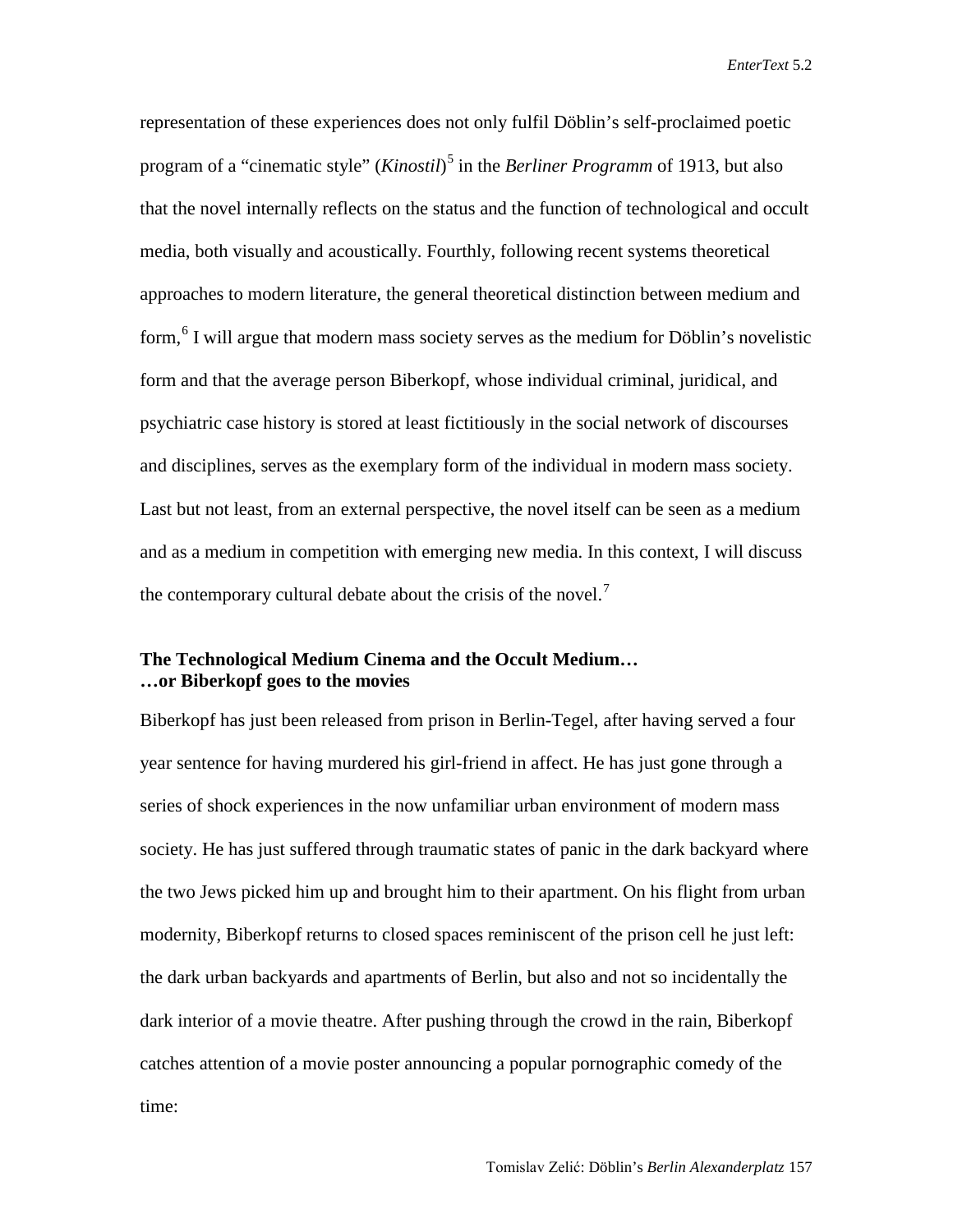representation of these experiences does not only fulfil Döblin's self-proclaimed poetic program of a "cinematic style" (*Kinostil*) [5](#page-19-0) in the *Berliner Programm* of 1913, but also that the novel internally reflects on the status and the function of technological and occult media, both visually and acoustically. Fourthly, following recent systems theoretical approaches to modern literature, the general theoretical distinction between medium and form, $6$  I will argue that modern mass society serves as the medium for Döblin's novelistic form and that the average person Biberkopf, whose individual criminal, juridical, and psychiatric case history is stored at least fictitiously in the social network of discourses and disciplines, serves as the exemplary form of the individual in modern mass society. Last but not least, from an external perspective, the novel itself can be seen as a medium and as a medium in competition with emerging new media. In this context, I will discuss the contemporary cultural debate about the crisis of the novel.<sup>[7](#page-19-2)</sup>

#### **The Technological Medium Cinema and the Occult Medium… …or Biberkopf goes to the movies**

Biberkopf has just been released from prison in Berlin-Tegel, after having served a four year sentence for having murdered his girl-friend in affect. He has just gone through a series of shock experiences in the now unfamiliar urban environment of modern mass society. He has just suffered through traumatic states of panic in the dark backyard where the two Jews picked him up and brought him to their apartment. On his flight from urban modernity, Biberkopf returns to closed spaces reminiscent of the prison cell he just left: the dark urban backyards and apartments of Berlin, but also and not so incidentally the dark interior of a movie theatre. After pushing through the crowd in the rain, Biberkopf catches attention of a movie poster announcing a popular pornographic comedy of the time: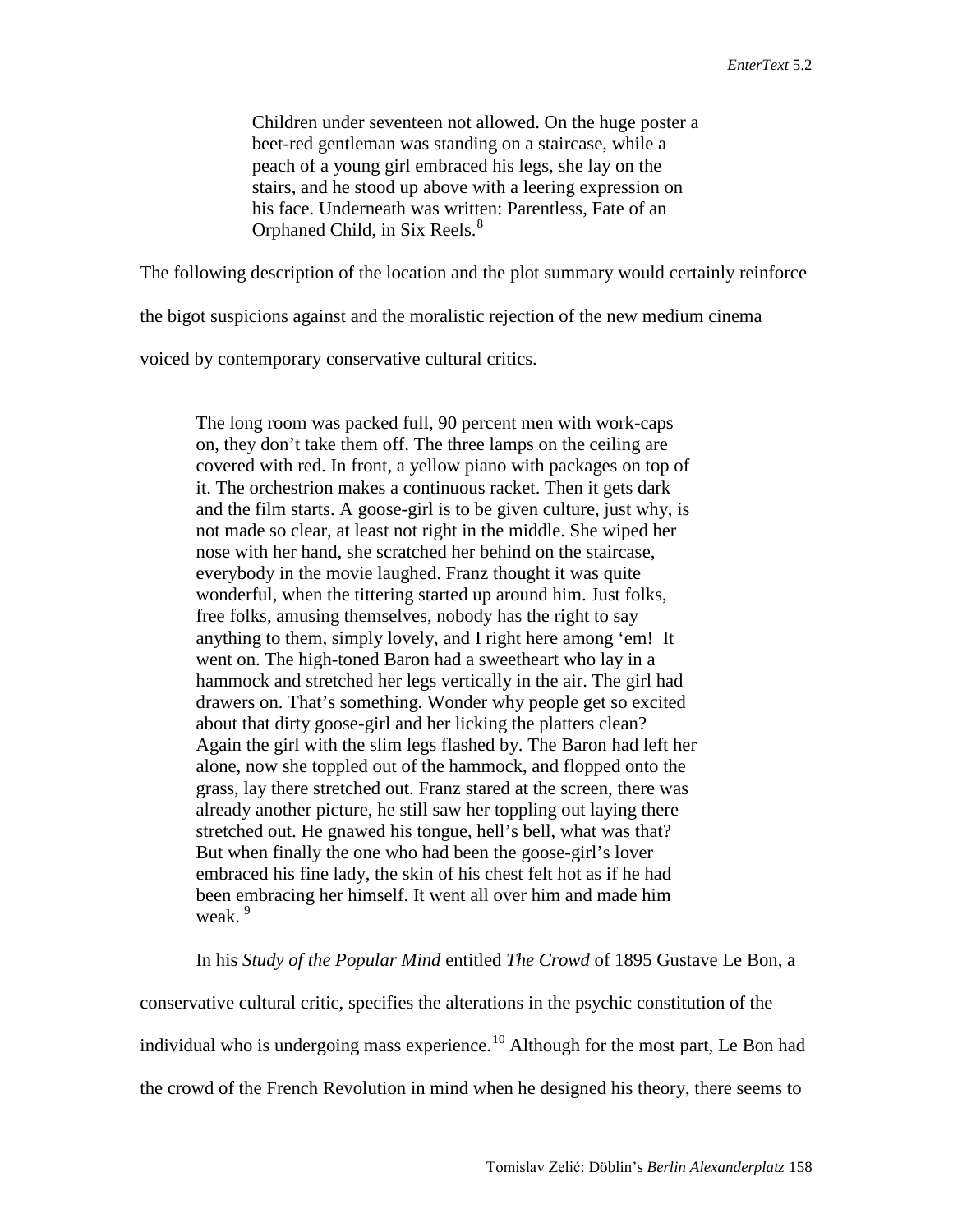Children under seventeen not allowed. On the huge poster a beet-red gentleman was standing on a staircase, while a peach of a young girl embraced his legs, she lay on the stairs, and he stood up above with a leering expression on his face. Underneath was written: Parentless, Fate of an Orphaned Child, in Six Reels.<sup>[8](#page-20-0)</sup>

The following description of the location and the plot summary would certainly reinforce

the bigot suspicions against and the moralistic rejection of the new medium cinema

voiced by contemporary conservative cultural critics.

The long room was packed full, 90 percent men with work-caps on, they don't take them off. The three lamps on the ceiling are covered with red. In front, a yellow piano with packages on top of it. The orchestrion makes a continuous racket. Then it gets dark and the film starts. A goose-girl is to be given culture, just why, is not made so clear, at least not right in the middle. She wiped her nose with her hand, she scratched her behind on the staircase, everybody in the movie laughed. Franz thought it was quite wonderful, when the tittering started up around him. Just folks, free folks, amusing themselves, nobody has the right to say anything to them, simply lovely, and I right here among 'em! It went on. The high-toned Baron had a sweetheart who lay in a hammock and stretched her legs vertically in the air. The girl had drawers on. That's something. Wonder why people get so excited about that dirty goose-girl and her licking the platters clean? Again the girl with the slim legs flashed by. The Baron had left her alone, now she toppled out of the hammock, and flopped onto the grass, lay there stretched out. Franz stared at the screen, there was already another picture, he still saw her toppling out laying there stretched out. He gnawed his tongue, hell's bell, what was that? But when finally the one who had been the goose-girl's lover embraced his fine lady, the skin of his chest felt hot as if he had been embracing her himself. It went all over him and made him weak.<sup>[9](#page-20-1)</sup>

In his *Study of the Popular Mind* entitled *The Crowd* of 1895 Gustave Le Bon, a

conservative cultural critic, specifies the alterations in the psychic constitution of the individual who is undergoing mass experience.<sup>[10](#page-20-2)</sup> Although for the most part, Le Bon had the crowd of the French Revolution in mind when he designed his theory, there seems to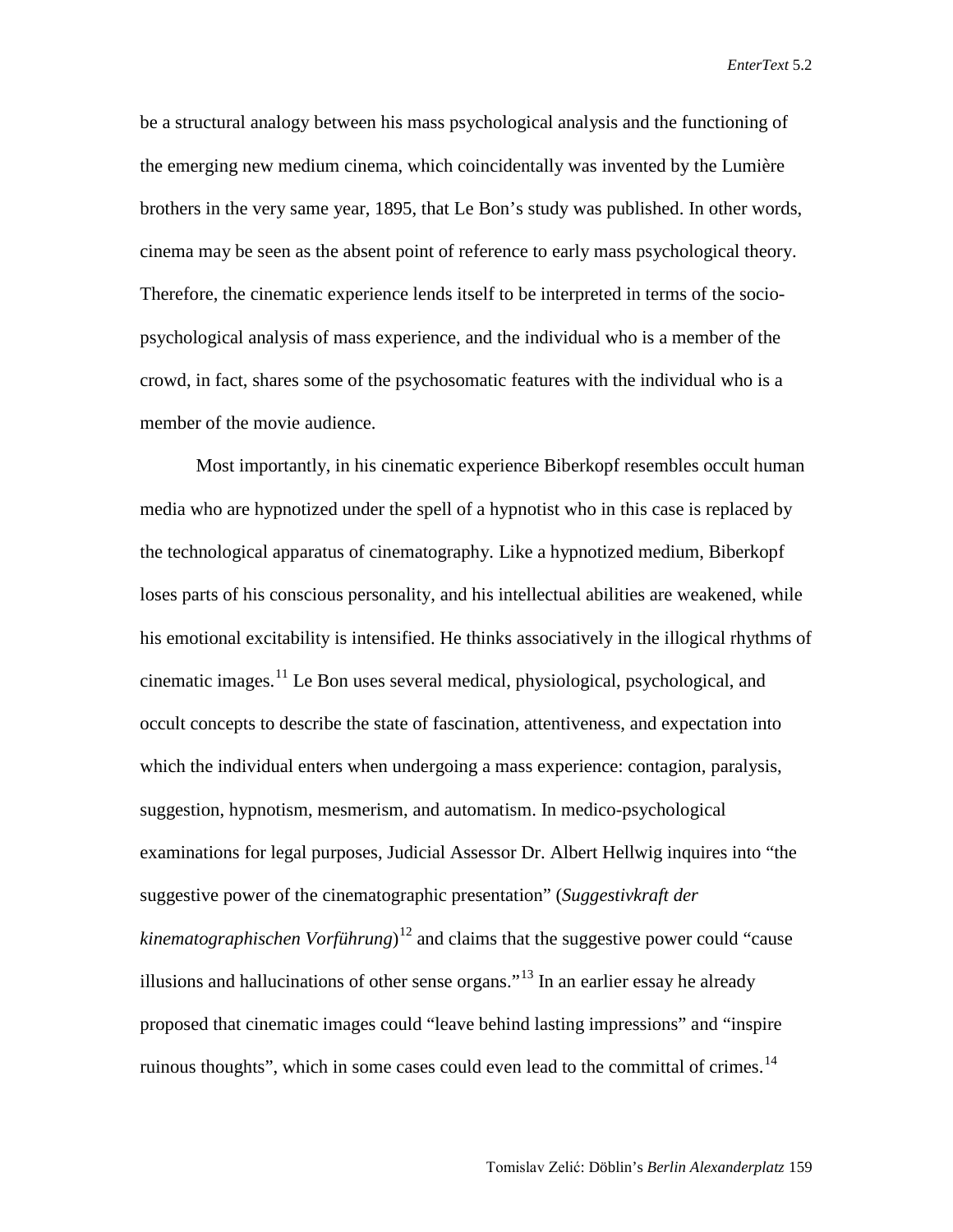be a structural analogy between his mass psychological analysis and the functioning of the emerging new medium cinema, which coincidentally was invented by the Lumière brothers in the very same year, 1895, that Le Bon's study was published. In other words, cinema may be seen as the absent point of reference to early mass psychological theory. Therefore, the cinematic experience lends itself to be interpreted in terms of the sociopsychological analysis of mass experience, and the individual who is a member of the crowd, in fact, shares some of the psychosomatic features with the individual who is a member of the movie audience.

Most importantly, in his cinematic experience Biberkopf resembles occult human media who are hypnotized under the spell of a hypnotist who in this case is replaced by the technological apparatus of cinematography. Like a hypnotized medium, Biberkopf loses parts of his conscious personality, and his intellectual abilities are weakened, while his emotional excitability is intensified. He thinks associatively in the illogical rhythms of cinematic images.<sup>[11](#page-21-0)</sup> Le Bon uses several medical, physiological, psychological, and occult concepts to describe the state of fascination, attentiveness, and expectation into which the individual enters when undergoing a mass experience: contagion, paralysis, suggestion, hypnotism, mesmerism, and automatism. In medico-psychological examinations for legal purposes, Judicial Assessor Dr. Albert Hellwig inquires into "the suggestive power of the cinematographic presentation" (*Suggestivkraft der kinematographischen Vorführung*) [12](#page-21-1) and claims that the suggestive power could "cause illusions and hallucinations of other sense organs."<sup>[13](#page-21-2)</sup> In an earlier essay he already proposed that cinematic images could "leave behind lasting impressions" and "inspire ruinous thoughts", which in some cases could even lead to the committal of crimes.<sup>[14](#page-21-3)</sup>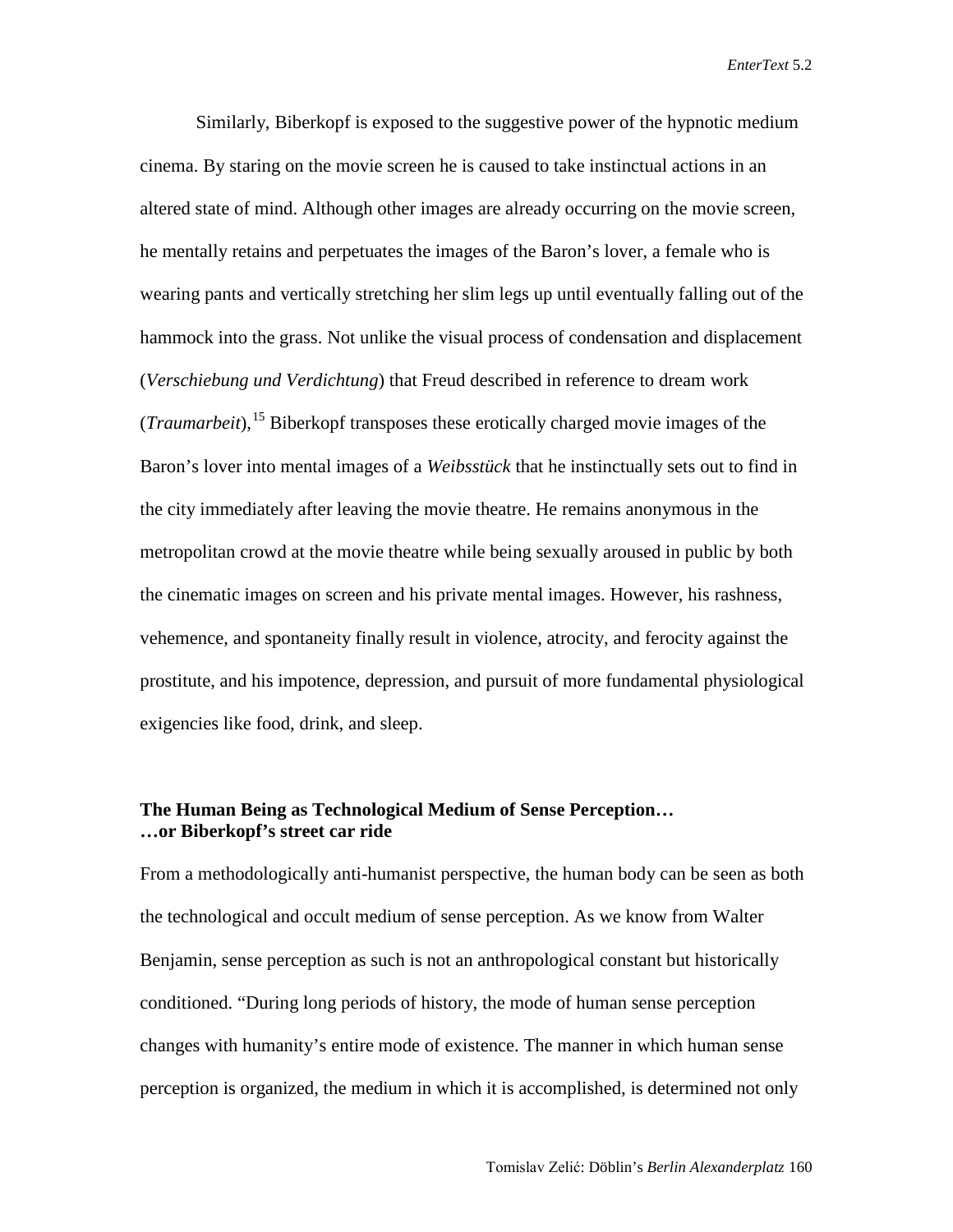Similarly, Biberkopf is exposed to the suggestive power of the hypnotic medium cinema. By staring on the movie screen he is caused to take instinctual actions in an altered state of mind. Although other images are already occurring on the movie screen, he mentally retains and perpetuates the images of the Baron's lover, a female who is wearing pants and vertically stretching her slim legs up until eventually falling out of the hammock into the grass. Not unlike the visual process of condensation and displacement (*Verschiebung und Verdichtung*) that Freud described in reference to dream work (*Traumarbeit*), [15](#page-21-4) Biberkopf transposes these erotically charged movie images of the Baron's lover into mental images of a *Weibsstück* that he instinctually sets out to find in the city immediately after leaving the movie theatre. He remains anonymous in the metropolitan crowd at the movie theatre while being sexually aroused in public by both the cinematic images on screen and his private mental images. However, his rashness, vehemence, and spontaneity finally result in violence, atrocity, and ferocity against the prostitute, and his impotence, depression, and pursuit of more fundamental physiological exigencies like food, drink, and sleep.

#### **The Human Being as Technological Medium of Sense Perception… …or Biberkopf's street car ride**

From a methodologically anti-humanist perspective, the human body can be seen as both the technological and occult medium of sense perception. As we know from Walter Benjamin, sense perception as such is not an anthropological constant but historically conditioned. "During long periods of history, the mode of human sense perception changes with humanity's entire mode of existence. The manner in which human sense perception is organized, the medium in which it is accomplished, is determined not only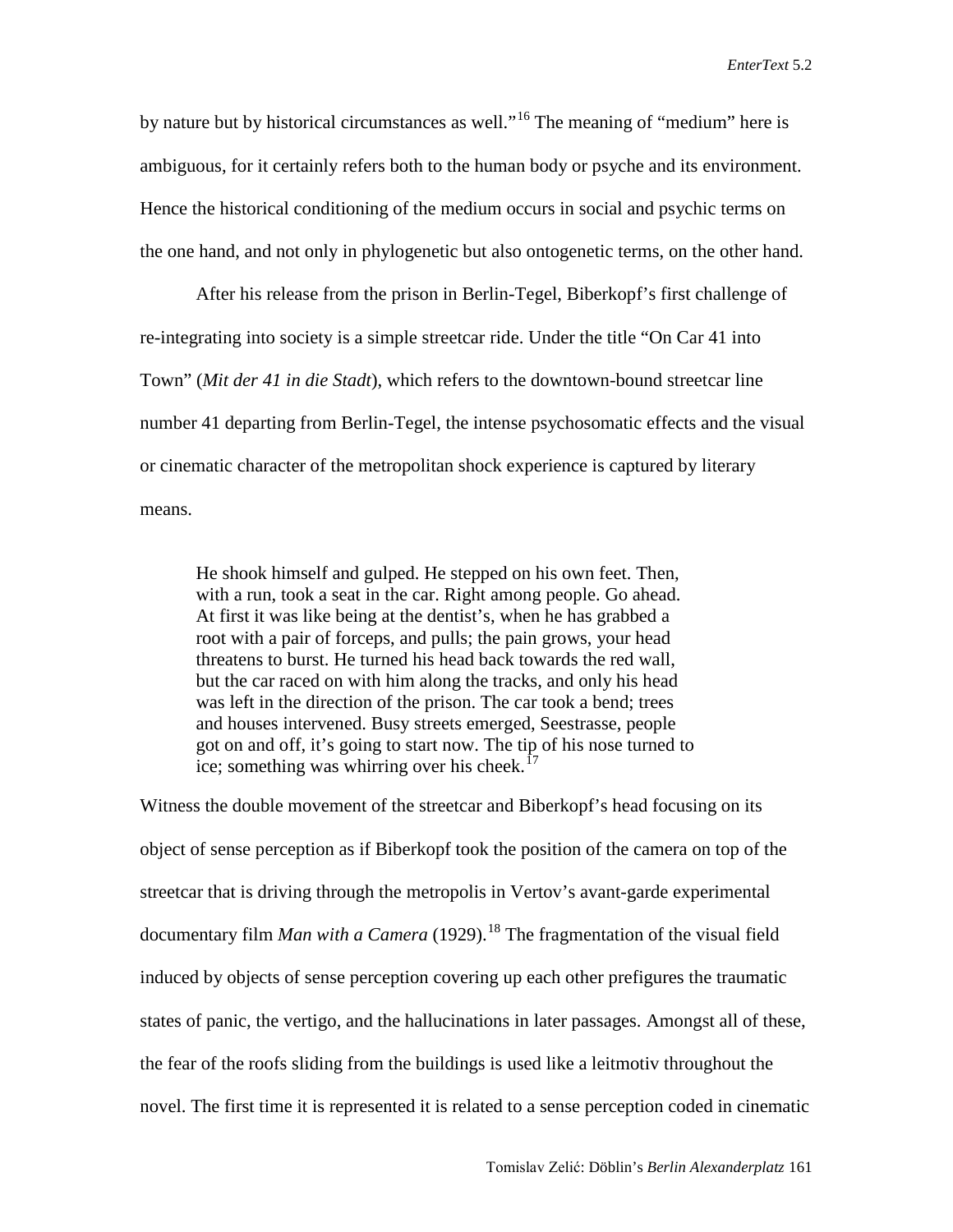by nature but by historical circumstances as well."<sup>[16](#page-21-5)</sup> The meaning of "medium" here is ambiguous, for it certainly refers both to the human body or psyche and its environment. Hence the historical conditioning of the medium occurs in social and psychic terms on the one hand, and not only in phylogenetic but also ontogenetic terms, on the other hand.

After his release from the prison in Berlin-Tegel, Biberkopf's first challenge of re-integrating into society is a simple streetcar ride. Under the title "On Car 41 into Town" (*Mit der 41 in die Stadt*), which refers to the downtown-bound streetcar line number 41 departing from Berlin-Tegel, the intense psychosomatic effects and the visual or cinematic character of the metropolitan shock experience is captured by literary means.

He shook himself and gulped. He stepped on his own feet. Then, with a run, took a seat in the car. Right among people. Go ahead. At first it was like being at the dentist's, when he has grabbed a root with a pair of forceps, and pulls; the pain grows, your head threatens to burst. He turned his head back towards the red wall, but the car raced on with him along the tracks, and only his head was left in the direction of the prison. The car took a bend; trees and houses intervened. Busy streets emerged, Seestrasse, people got on and off, it's going to start now. The tip of his nose turned to ice; something was whirring over his cheek.<sup> $17$ </sup>

Witness the double movement of the streetcar and Biberkopf's head focusing on its object of sense perception as if Biberkopf took the position of the camera on top of the streetcar that is driving through the metropolis in Vertov's avant-garde experimental documentary film *Man with a Camera* (1929).<sup>[18](#page-21-7)</sup> The fragmentation of the visual field induced by objects of sense perception covering up each other prefigures the traumatic states of panic, the vertigo, and the hallucinations in later passages. Amongst all of these, the fear of the roofs sliding from the buildings is used like a leitmotiv throughout the novel. The first time it is represented it is related to a sense perception coded in cinematic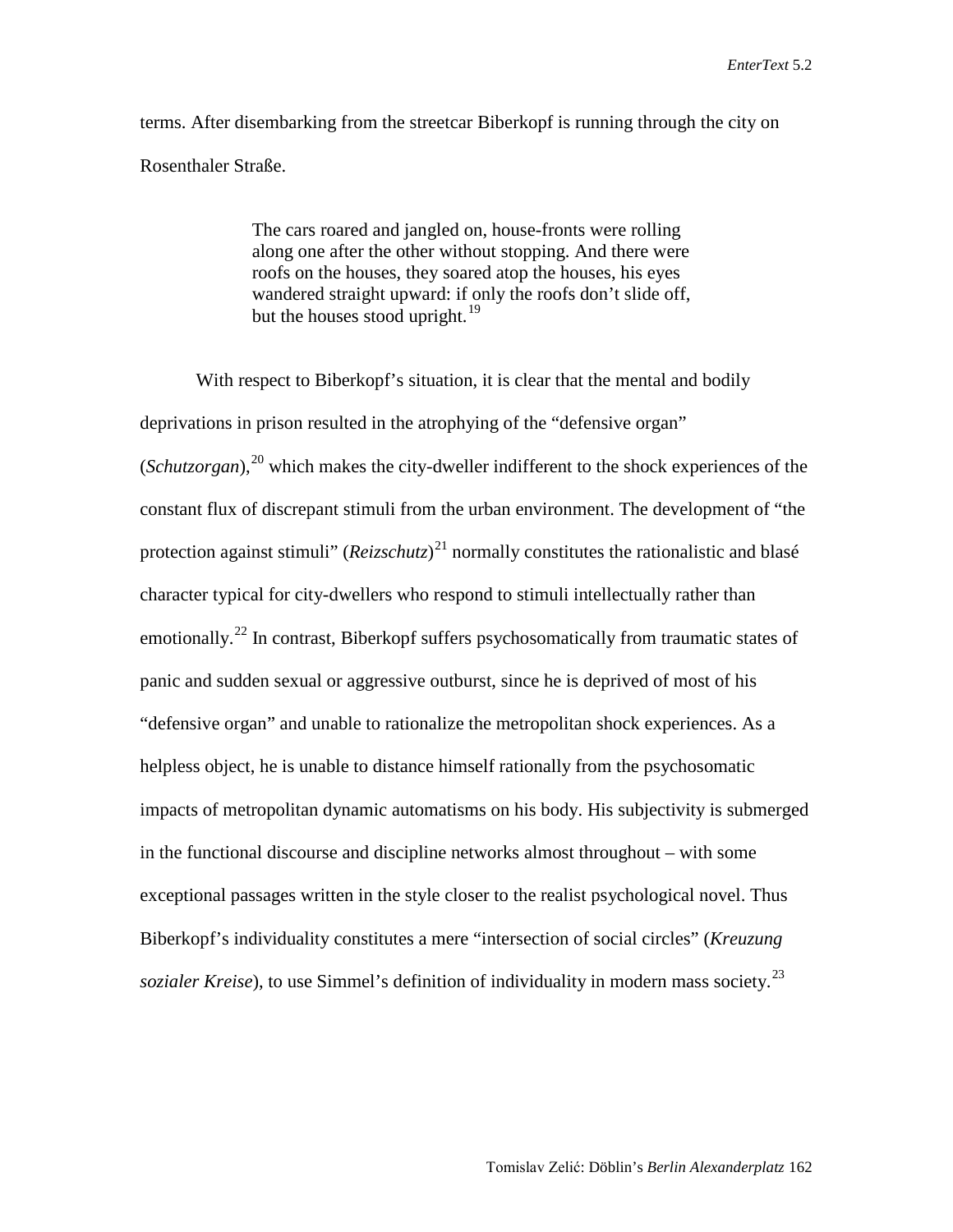terms. After disembarking from the streetcar Biberkopf is running through the city on Rosenthaler Straße.

> The cars roared and jangled on, house-fronts were rolling along one after the other without stopping. And there were roofs on the houses, they soared atop the houses, his eyes wandered straight upward: if only the roofs don't slide off, but the houses stood upright. $^{19}$  $^{19}$  $^{19}$

With respect to Biberkopf's situation, it is clear that the mental and bodily deprivations in prison resulted in the atrophying of the "defensive organ" (*Schutzorgan*), [20](#page-21-9) which makes the city-dweller indifferent to the shock experiences of the constant flux of discrepant stimuli from the urban environment. The development of "the protection against stimuli" (*Reizschutz*) [21](#page-21-10) normally constitutes the rationalistic and blasé character typical for city-dwellers who respond to stimuli intellectually rather than emotionally.<sup>[22](#page-21-11)</sup> In contrast, Biberkopf suffers psychosomatically from traumatic states of panic and sudden sexual or aggressive outburst, since he is deprived of most of his "defensive organ" and unable to rationalize the metropolitan shock experiences. As a helpless object, he is unable to distance himself rationally from the psychosomatic impacts of metropolitan dynamic automatisms on his body. His subjectivity is submerged in the functional discourse and discipline networks almost throughout – with some exceptional passages written in the style closer to the realist psychological novel. Thus Biberkopf's individuality constitutes a mere "intersection of social circles" (*Kreuzung sozialer Kreise*), to use Simmel's definition of individuality in modern mass society.<sup>[23](#page-21-12)</sup>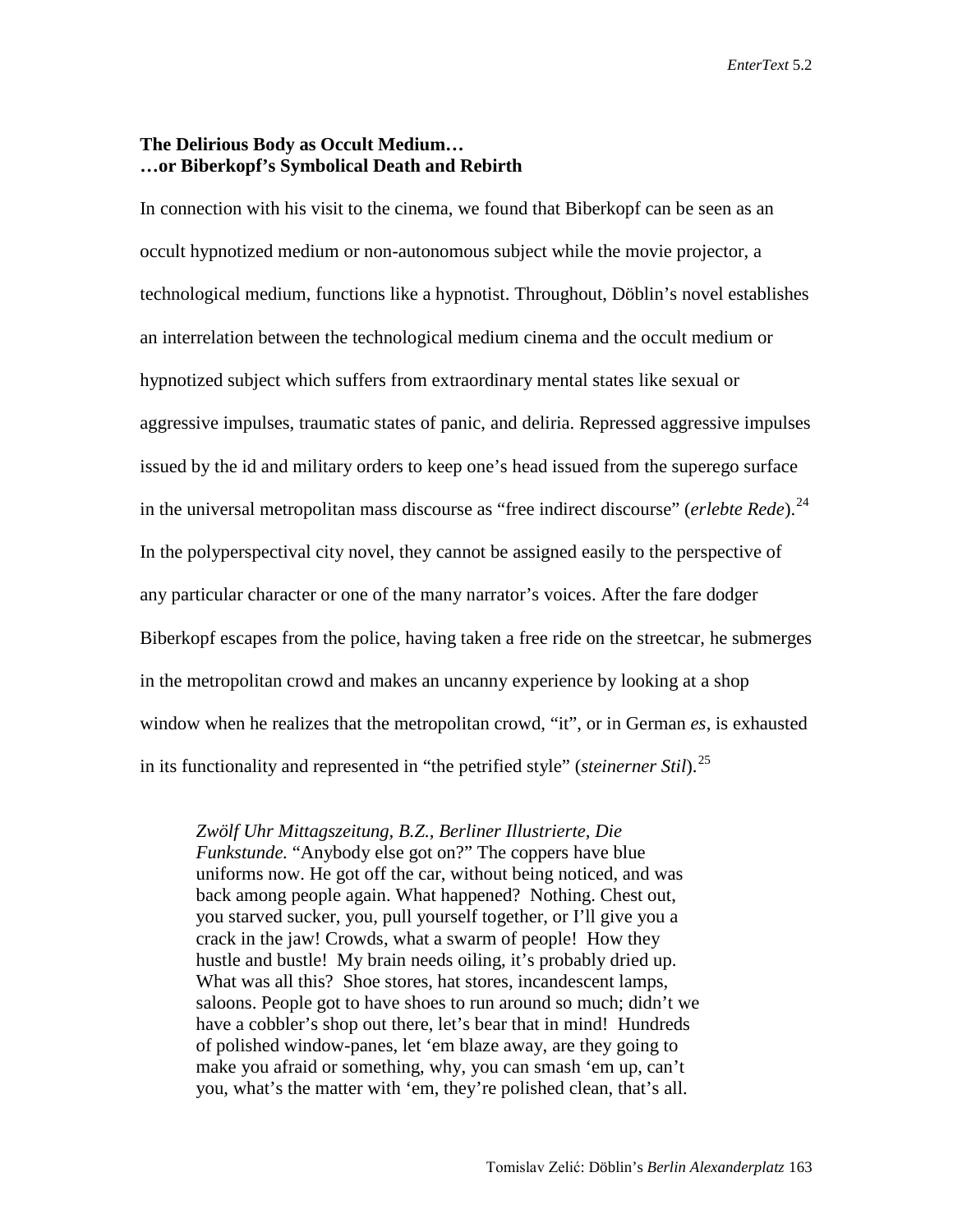#### **The Delirious Body as Occult Medium… …or Biberkopf's Symbolical Death and Rebirth**

In connection with his visit to the cinema, we found that Biberkopf can be seen as an occult hypnotized medium or non-autonomous subject while the movie projector, a technological medium, functions like a hypnotist. Throughout, Döblin's novel establishes an interrelation between the technological medium cinema and the occult medium or hypnotized subject which suffers from extraordinary mental states like sexual or aggressive impulses, traumatic states of panic, and deliria. Repressed aggressive impulses issued by the id and military orders to keep one's head issued from the superego surface in the universal metropolitan mass discourse as "free indirect discourse" (*erlebte Rede*). [24](#page-21-13)  In the polyperspectival city novel, they cannot be assigned easily to the perspective of any particular character or one of the many narrator's voices. After the fare dodger Biberkopf escapes from the police, having taken a free ride on the streetcar, he submerges in the metropolitan crowd and makes an uncanny experience by looking at a shop window when he realizes that the metropolitan crowd, "it", or in German *es*, is exhausted in its functionality and represented in "the petrified style" (*steinerner Stil*). [25](#page-21-14) 

*Zwölf Uhr Mittagszeitung, B.Z., Berliner Illustrierte, Die Funkstunde.* "Anybody else got on?" The coppers have blue uniforms now. He got off the car, without being noticed, and was back among people again. What happened? Nothing. Chest out, you starved sucker, you, pull yourself together, or I'll give you a crack in the jaw! Crowds, what a swarm of people! How they hustle and bustle! My brain needs oiling, it's probably dried up. What was all this? Shoe stores, hat stores, incandescent lamps, saloons. People got to have shoes to run around so much; didn't we have a cobbler's shop out there, let's bear that in mind! Hundreds of polished window-panes, let 'em blaze away, are they going to make you afraid or something, why, you can smash 'em up, can't you, what's the matter with 'em, they're polished clean, that's all.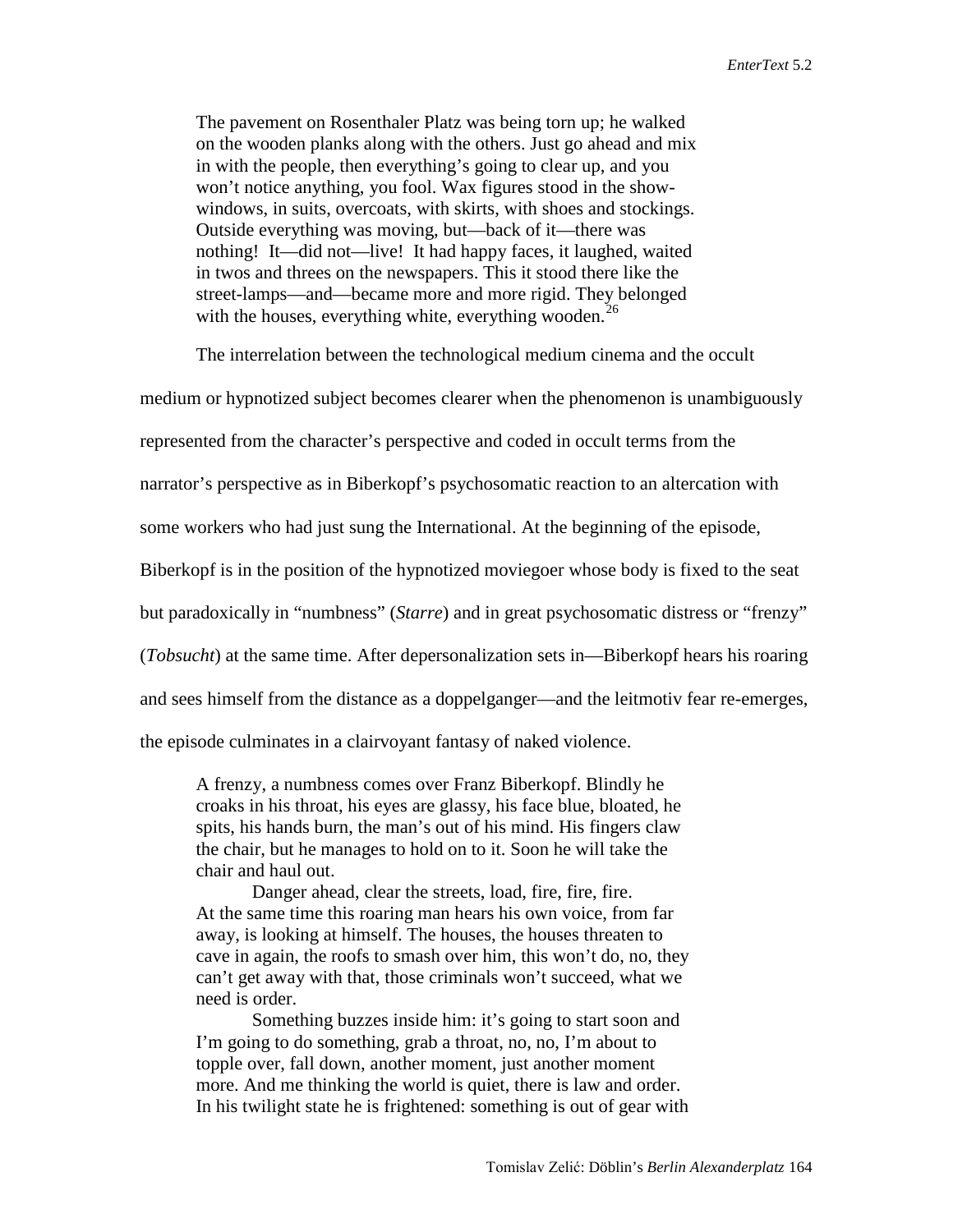The pavement on Rosenthaler Platz was being torn up; he walked on the wooden planks along with the others. Just go ahead and mix in with the people, then everything's going to clear up, and you won't notice anything, you fool. Wax figures stood in the showwindows, in suits, overcoats, with skirts, with shoes and stockings. Outside everything was moving, but—back of it—there was nothing! It—did not—live! It had happy faces, it laughed, waited in twos and threes on the newspapers. This it stood there like the street-lamps—and—became more and more rigid. They belonged with the houses, everything white, everything wooden.<sup>[26](#page-21-15)</sup>

The interrelation between the technological medium cinema and the occult

medium or hypnotized subject becomes clearer when the phenomenon is unambiguously

represented from the character's perspective and coded in occult terms from the

narrator's perspective as in Biberkopf's psychosomatic reaction to an altercation with

some workers who had just sung the International. At the beginning of the episode,

Biberkopf is in the position of the hypnotized moviegoer whose body is fixed to the seat

but paradoxically in "numbness" (*Starre*) and in great psychosomatic distress or "frenzy"

(*Tobsucht*) at the same time. After depersonalization sets in—Biberkopf hears his roaring

and sees himself from the distance as a doppelganger—and the leitmotiv fear re-emerges,

the episode culminates in a clairvoyant fantasy of naked violence.

A frenzy, a numbness comes over Franz Biberkopf. Blindly he croaks in his throat, his eyes are glassy, his face blue, bloated, he spits, his hands burn, the man's out of his mind. His fingers claw the chair, but he manages to hold on to it. Soon he will take the chair and haul out.

Danger ahead, clear the streets, load, fire, fire, fire. At the same time this roaring man hears his own voice, from far away, is looking at himself. The houses, the houses threaten to cave in again, the roofs to smash over him, this won't do, no, they can't get away with that, those criminals won't succeed, what we need is order.

Something buzzes inside him: it's going to start soon and I'm going to do something, grab a throat, no, no, I'm about to topple over, fall down, another moment, just another moment more. And me thinking the world is quiet, there is law and order. In his twilight state he is frightened: something is out of gear with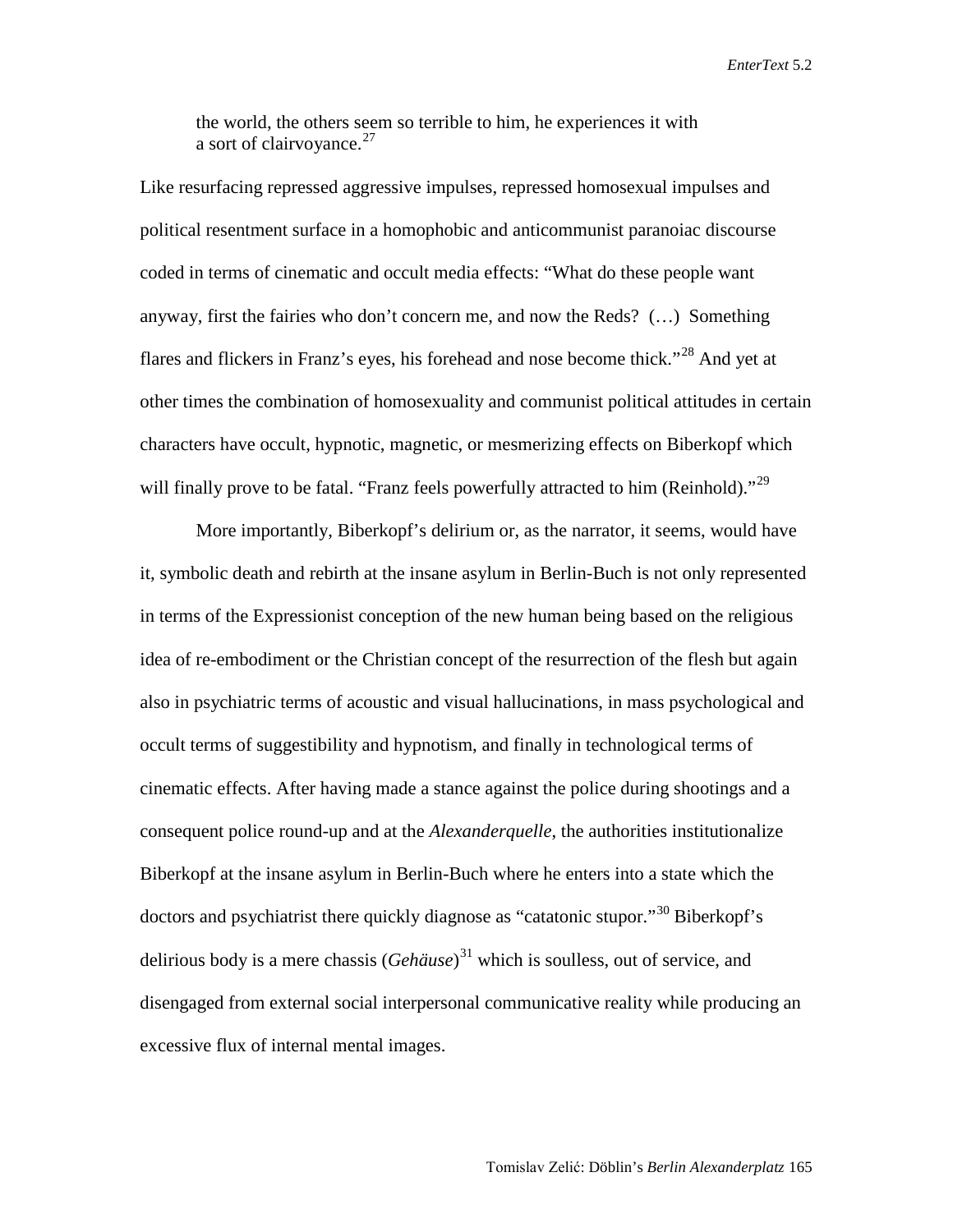the world, the others seem so terrible to him, he experiences it with a sort of clairvoyance. $27$ 

Like resurfacing repressed aggressive impulses, repressed homosexual impulses and political resentment surface in a homophobic and anticommunist paranoiac discourse coded in terms of cinematic and occult media effects: "What do these people want anyway, first the fairies who don't concern me, and now the Reds? (…) Something flares and flickers in Franz's eyes, his forehead and nose become thick."[28](#page-21-6) And yet at other times the combination of homosexuality and communist political attitudes in certain characters have occult, hypnotic, magnetic, or mesmerizing effects on Biberkopf which will finally prove to be fatal. "Franz feels powerfully attracted to him (Reinhold)."<sup>[29](#page-21-17)</sup>

More importantly, Biberkopf's delirium or, as the narrator, it seems, would have it, symbolic death and rebirth at the insane asylum in Berlin-Buch is not only represented in terms of the Expressionist conception of the new human being based on the religious idea of re-embodiment or the Christian concept of the resurrection of the flesh but again also in psychiatric terms of acoustic and visual hallucinations, in mass psychological and occult terms of suggestibility and hypnotism, and finally in technological terms of cinematic effects. After having made a stance against the police during shootings and a consequent police round-up and at the *Alexanderquelle*, the authorities institutionalize Biberkopf at the insane asylum in Berlin-Buch where he enters into a state which the doctors and psychiatrist there quickly diagnose as "catatonic stupor."<sup>[30](#page-21-18)</sup> Biberkopf's delirious body is a mere chassis (*Gehäuse*) [31](#page-21-19) which is soulless, out of service, and disengaged from external social interpersonal communicative reality while producing an excessive flux of internal mental images.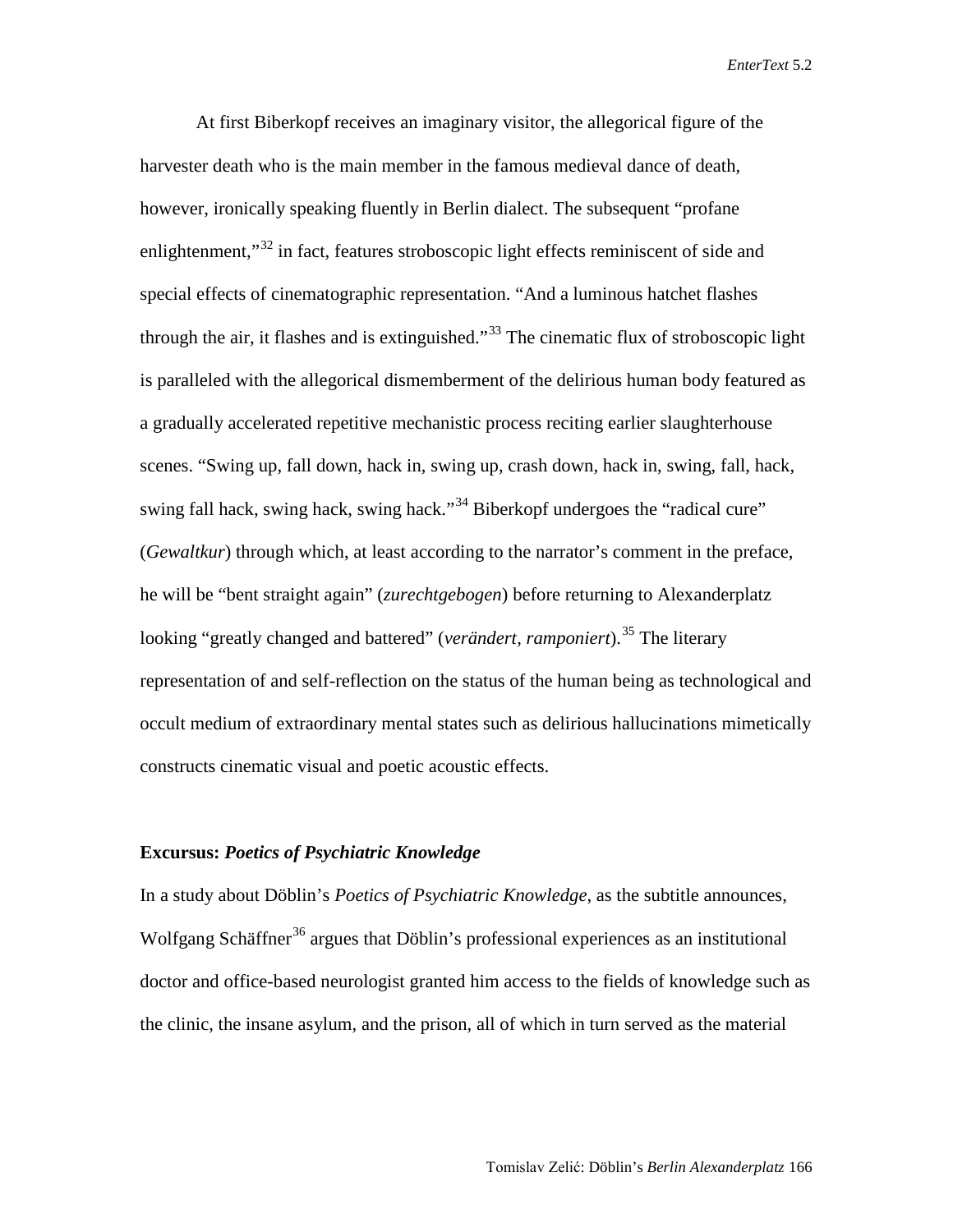At first Biberkopf receives an imaginary visitor, the allegorical figure of the harvester death who is the main member in the famous medieval dance of death, however, ironically speaking fluently in Berlin dialect. The subsequent "profane enlightenment,<sup>[32](#page-21-20)</sup> in fact, features stroboscopic light effects reminiscent of side and special effects of cinematographic representation. "And a luminous hatchet flashes through the air, it flashes and is extinguished."<sup>[33](#page-21-21)</sup> The cinematic flux of stroboscopic light is paralleled with the allegorical dismemberment of the delirious human body featured as a gradually accelerated repetitive mechanistic process reciting earlier slaughterhouse scenes. "Swing up, fall down, hack in, swing up, crash down, hack in, swing, fall, hack, swing fall hack, swing hack, swing hack."<sup>[34](#page-21-7)</sup> Biberkopf undergoes the "radical cure" (*Gewaltkur*) through which, at least according to the narrator's comment in the preface, he will be "bent straight again" (*zurechtgebogen*) before returning to Alexanderplatz looking "greatly changed and battered" (*verändert, ramponiert*). [35](#page-21-8) The literary representation of and self-reflection on the status of the human being as technological and occult medium of extraordinary mental states such as delirious hallucinations mimetically constructs cinematic visual and poetic acoustic effects.

#### **Excursus:** *Poetics of Psychiatric Knowledge*

In a study about Döblin's *Poetics of Psychiatric Knowledge*, as the subtitle announces, Wolfgang Schäffner<sup>[36](#page-21-22)</sup> argues that Döblin's professional experiences as an institutional doctor and office-based neurologist granted him access to the fields of knowledge such as the clinic, the insane asylum, and the prison, all of which in turn served as the material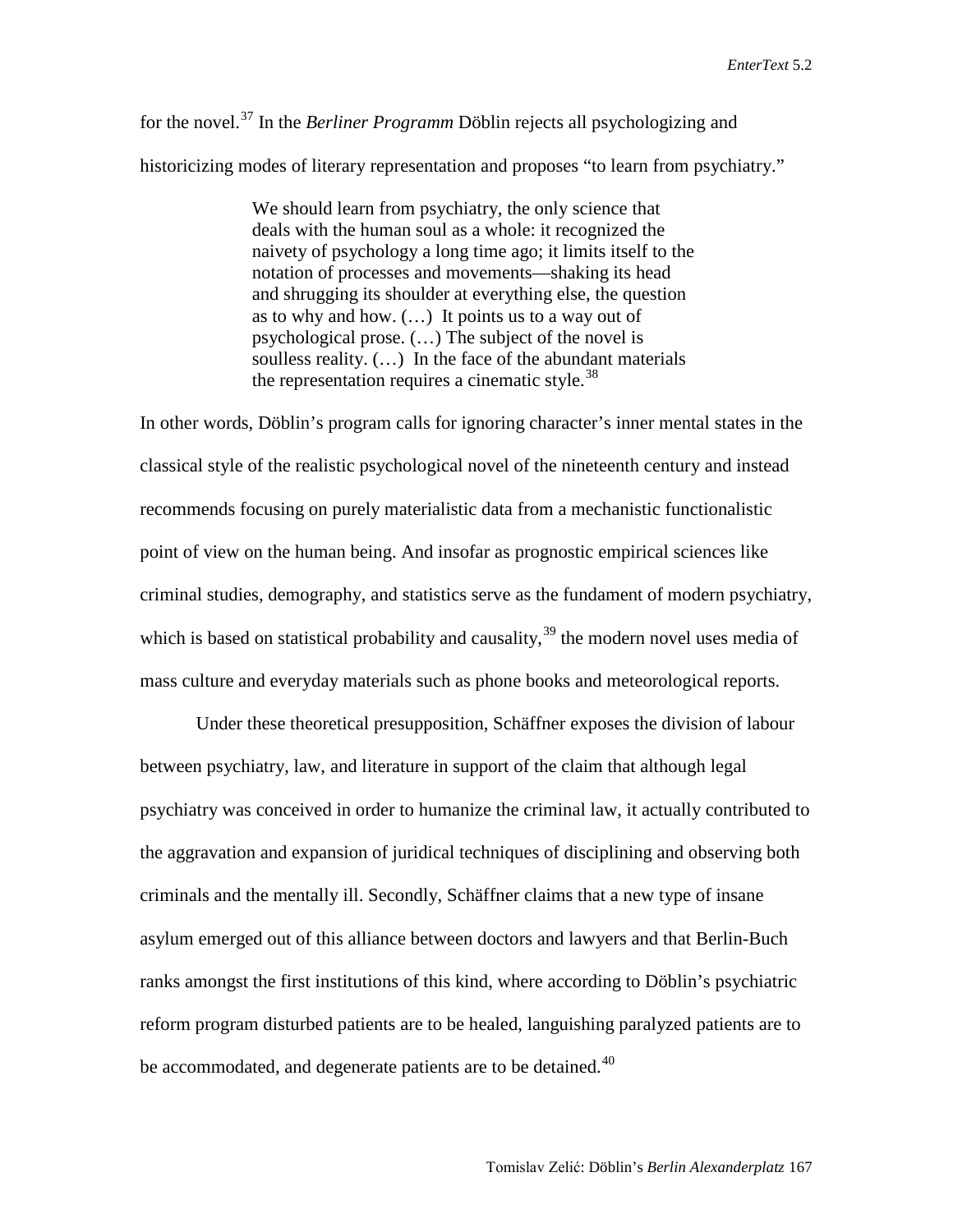for the novel.[37](#page-21-9) In the *Berliner Programm* Döblin rejects all psychologizing and historicizing modes of literary representation and proposes "to learn from psychiatry."

> We should learn from psychiatry, the only science that deals with the human soul as a whole: it recognized the naivety of psychology a long time ago; it limits itself to the notation of processes and movements—shaking its head and shrugging its shoulder at everything else, the question as to why and how. (…) It points us to a way out of psychological prose. (…) The subject of the novel is soulless reality. (…) In the face of the abundant materials the representation requires a cinematic style. $38$

In other words, Döblin's program calls for ignoring character's inner mental states in the classical style of the realistic psychological novel of the nineteenth century and instead recommends focusing on purely materialistic data from a mechanistic functionalistic point of view on the human being. And insofar as prognostic empirical sciences like criminal studies, demography, and statistics serve as the fundament of modern psychiatry, which is based on statistical probability and causality,  $39$  the modern novel uses media of mass culture and everyday materials such as phone books and meteorological reports.

Under these theoretical presupposition, Schäffner exposes the division of labour between psychiatry, law, and literature in support of the claim that although legal psychiatry was conceived in order to humanize the criminal law, it actually contributed to the aggravation and expansion of juridical techniques of disciplining and observing both criminals and the mentally ill. Secondly, Schäffner claims that a new type of insane asylum emerged out of this alliance between doctors and lawyers and that Berlin-Buch ranks amongst the first institutions of this kind, where according to Döblin's psychiatric reform program disturbed patients are to be healed, languishing paralyzed patients are to be accommodated, and degenerate patients are to be detained.<sup>[40](#page-21-25)</sup>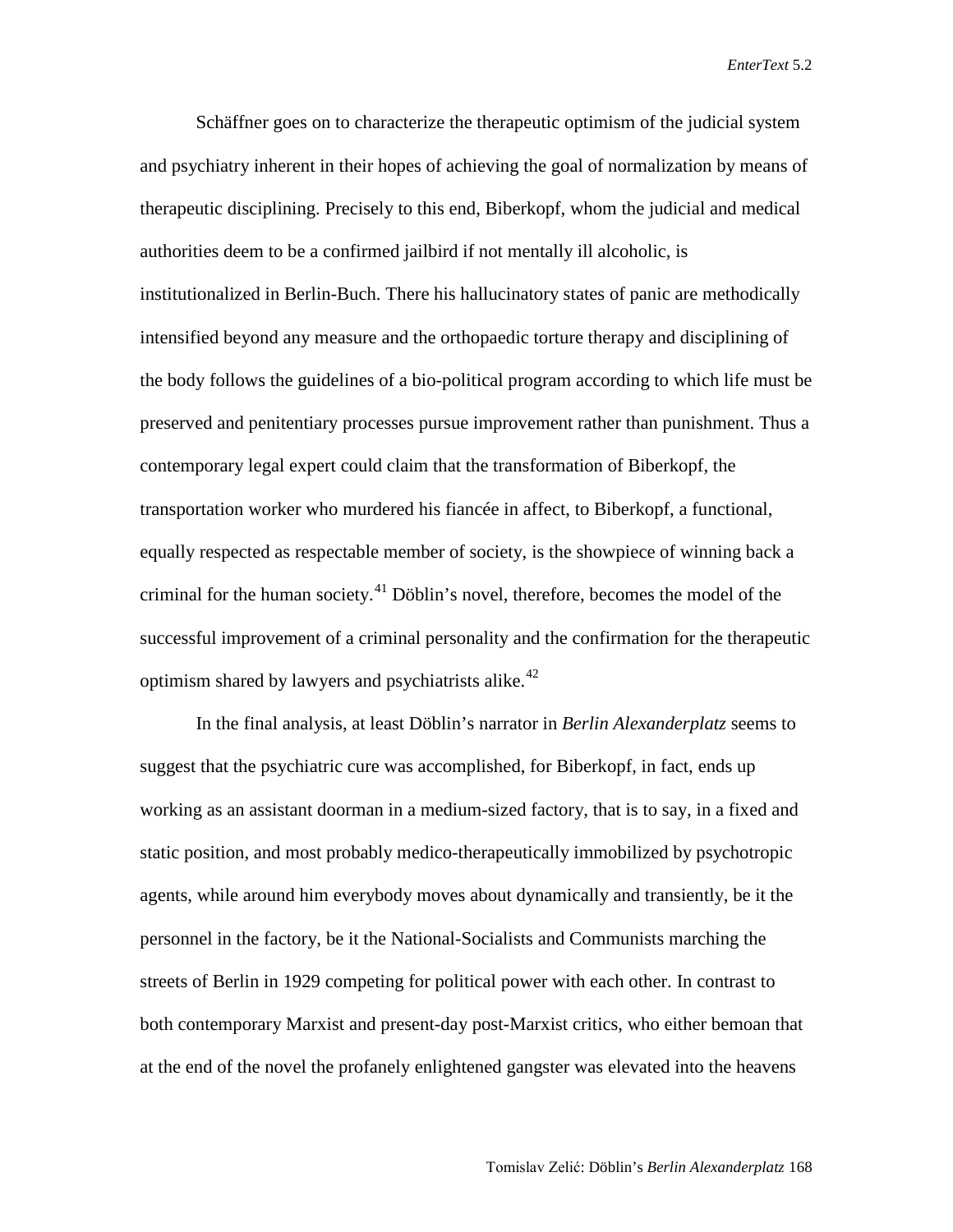Schäffner goes on to characterize the therapeutic optimism of the judicial system and psychiatry inherent in their hopes of achieving the goal of normalization by means of therapeutic disciplining. Precisely to this end, Biberkopf, whom the judicial and medical authorities deem to be a confirmed jailbird if not mentally ill alcoholic, is institutionalized in Berlin-Buch. There his hallucinatory states of panic are methodically intensified beyond any measure and the orthopaedic torture therapy and disciplining of the body follows the guidelines of a bio-political program according to which life must be preserved and penitentiary processes pursue improvement rather than punishment. Thus a contemporary legal expert could claim that the transformation of Biberkopf, the transportation worker who murdered his fiancée in affect, to Biberkopf, a functional, equally respected as respectable member of society, is the showpiece of winning back a criminal for the human society.<sup>[41](#page-21-26)</sup> Döblin's novel, therefore, becomes the model of the successful improvement of a criminal personality and the confirmation for the therapeutic optimism shared by lawyers and psychiatrists alike.<sup>[42](#page-21-27)</sup>

In the final analysis, at least Döblin's narrator in *Berlin Alexanderplatz* seems to suggest that the psychiatric cure was accomplished, for Biberkopf, in fact, ends up working as an assistant doorman in a medium-sized factory, that is to say, in a fixed and static position, and most probably medico-therapeutically immobilized by psychotropic agents, while around him everybody moves about dynamically and transiently, be it the personnel in the factory, be it the National-Socialists and Communists marching the streets of Berlin in 1929 competing for political power with each other. In contrast to both contemporary Marxist and present-day post-Marxist critics, who either bemoan that at the end of the novel the profanely enlightened gangster was elevated into the heavens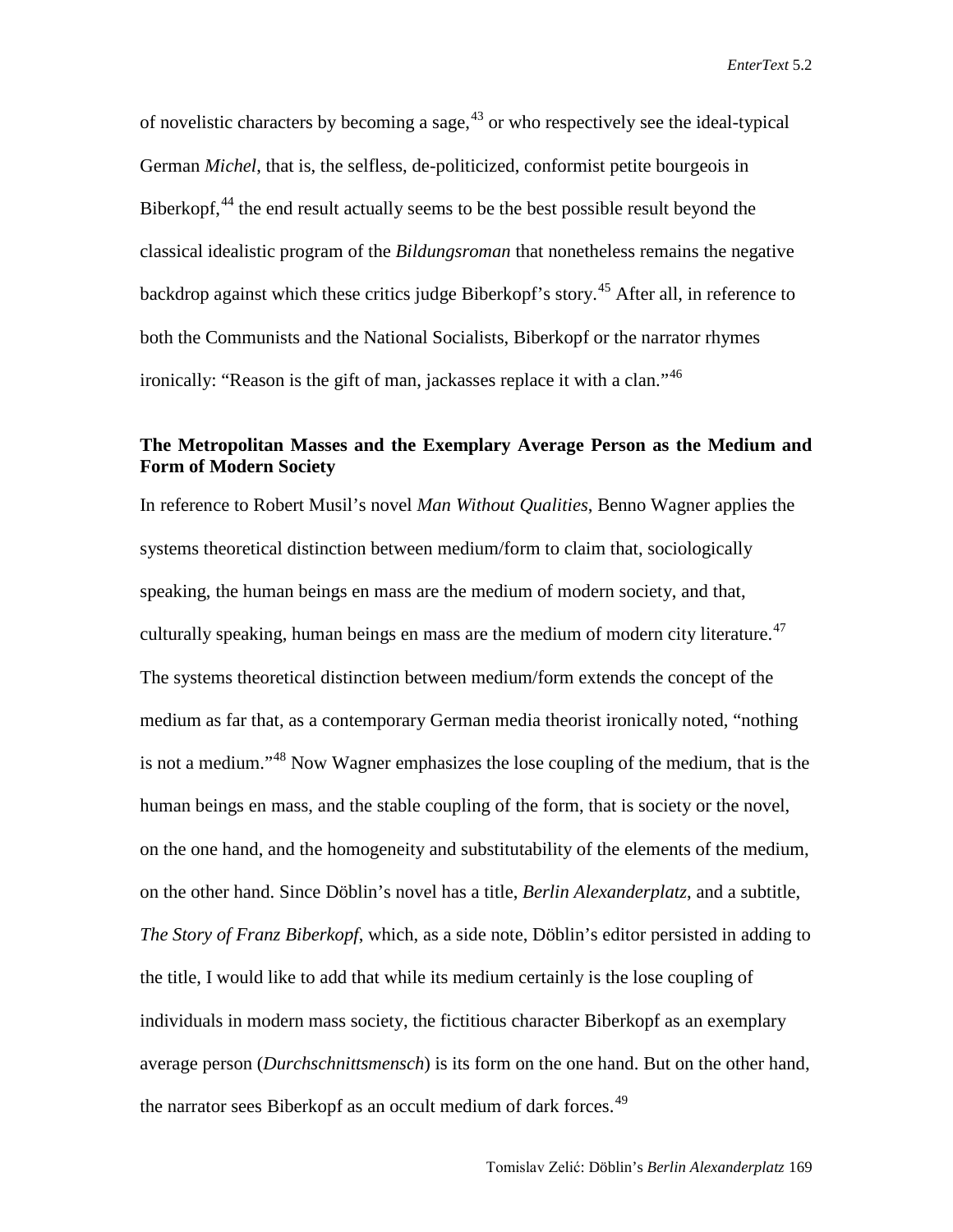of novelistic characters by becoming a sage,  $43$  or who respectively see the ideal-typical German *Michel*, that is, the selfless, de-politicized, conformist petite bourgeois in Biberkopf,  $44$  the end result actually seems to be the best possible result beyond the classical idealistic program of the *Bildungsroman* that nonetheless remains the negative backdrop against which these critics judge Biberkopf's story.<sup>[45](#page-21-16)</sup> After all, in reference to both the Communists and the National Socialists, Biberkopf or the narrator rhymes ironically: "Reason is the gift of man, jackasses replace it with a clan."[46](#page-21-0)

### **The Metropolitan Masses and the Exemplary Average Person as the Medium and Form of Modern Society**

In reference to Robert Musil's novel *Man Without Qualities*, Benno Wagner applies the systems theoretical distinction between medium/form to claim that, sociologically speaking, the human beings en mass are the medium of modern society, and that, culturally speaking, human beings en mass are the medium of modern city literature.<sup>[47](#page-21-1)</sup> The systems theoretical distinction between medium/form extends the concept of the medium as far that, as a contemporary German media theorist ironically noted, "nothing is not a medium."[48](#page-21-30) Now Wagner emphasizes the lose coupling of the medium, that is the human beings en mass, and the stable coupling of the form, that is society or the novel, on the one hand, and the homogeneity and substitutability of the elements of the medium, on the other hand. Since Döblin's novel has a title, *Berlin Alexanderplatz*, and a subtitle, *The Story of Franz Biberkopf*, which, as a side note, Döblin's editor persisted in adding to the title, I would like to add that while its medium certainly is the lose coupling of individuals in modern mass society, the fictitious character Biberkopf as an exemplary average person (*Durchschnittsmensch*) is its form on the one hand. But on the other hand, the narrator sees Biberkopf as an occult medium of dark forces.<sup>49</sup>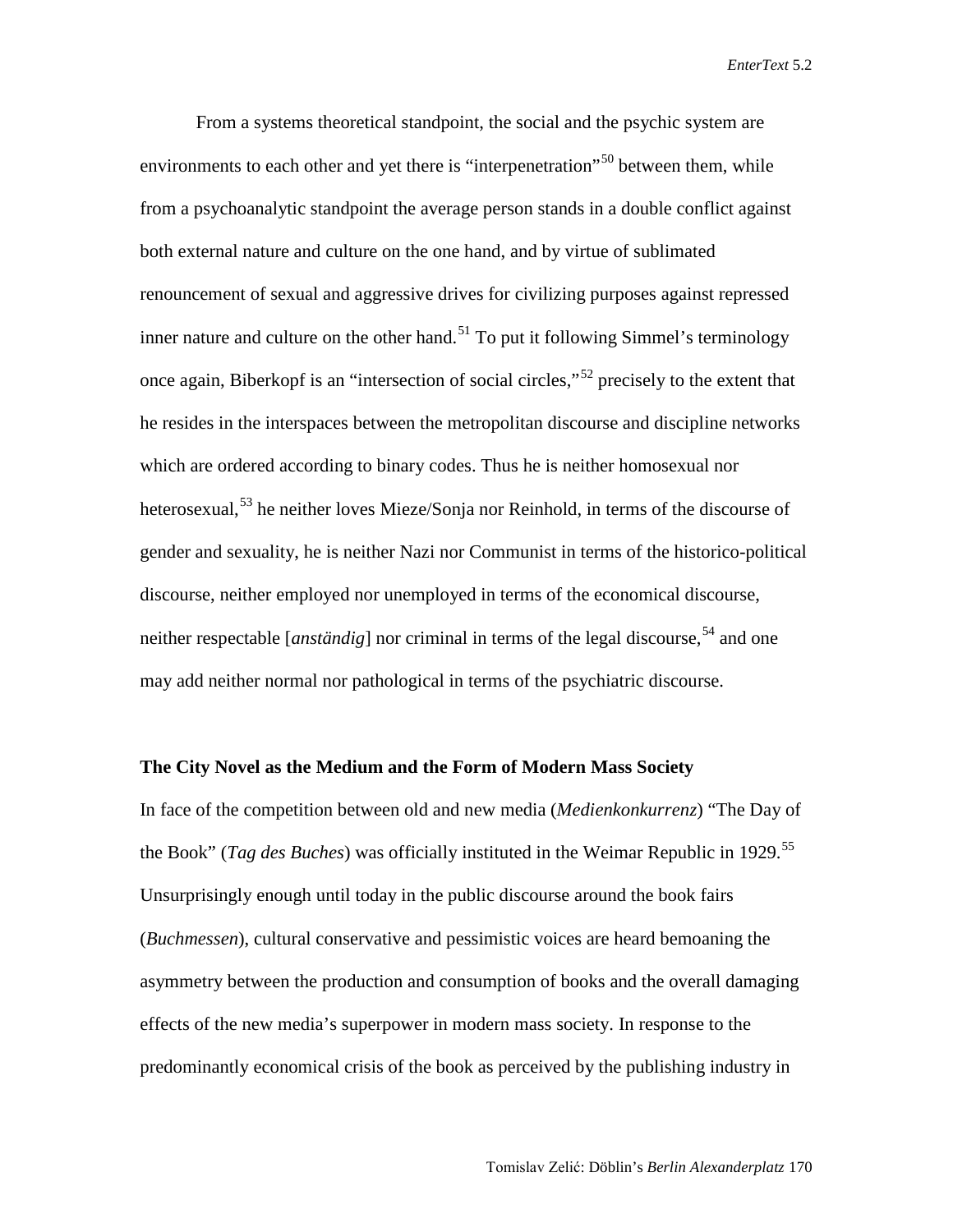From a systems theoretical standpoint, the social and the psychic system are environments to each other and yet there is "interpenetration"<sup>[50](#page-21-2)</sup> between them, while from a psychoanalytic standpoint the average person stands in a double conflict against both external nature and culture on the one hand, and by virtue of sublimated renouncement of sexual and aggressive drives for civilizing purposes against repressed inner nature and culture on the other hand.<sup>[51](#page-21-32)</sup> To put it following Simmel's terminology once again, Biberkopf is an "intersection of social circles,"<sup>[52](#page-21-5)</sup> precisely to the extent that he resides in the interspaces between the metropolitan discourse and discipline networks which are ordered according to binary codes. Thus he is neither homosexual nor heterosexual,<sup>[53](#page-21-6)</sup> he neither loves Mieze/Sonja nor Reinhold, in terms of the discourse of gender and sexuality, he is neither Nazi nor Communist in terms of the historico-political discourse, neither employed nor unemployed in terms of the economical discourse, neither respectable [*anständig*] nor criminal in terms of the legal discourse,<sup>[54](#page-21-33)</sup> and one may add neither normal nor pathological in terms of the psychiatric discourse.

#### **The City Novel as the Medium and the Form of Modern Mass Society**

In face of the competition between old and new media (*Medienkonkurrenz*) "The Day of the Book" (*Tag des Buches*) was officially instituted in the Weimar Republic in 1929.<sup>[55](#page-21-17)</sup> Unsurprisingly enough until today in the public discourse around the book fairs (*Buchmessen*), cultural conservative and pessimistic voices are heard bemoaning the asymmetry between the production and consumption of books and the overall damaging effects of the new media's superpower in modern mass society. In response to the predominantly economical crisis of the book as perceived by the publishing industry in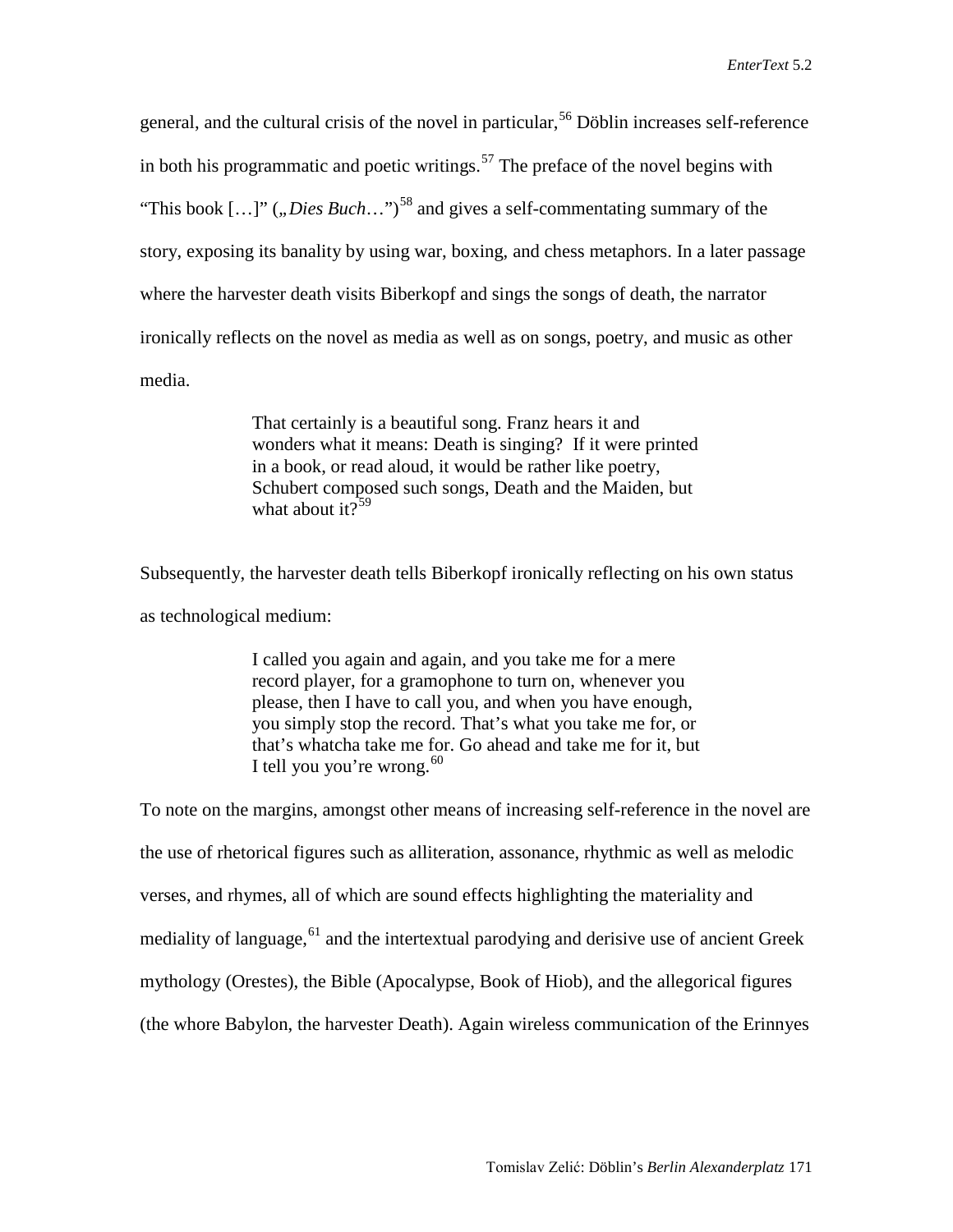general, and the cultural crisis of the novel in particular,<sup>[56](#page-21-18)</sup> Döblin increases self-reference in both his programmatic and poetic writings. [57](#page-21-20) The preface of the novel begins with "This book  $[...]$ " (*"Dies Buch*…")<sup>[58](#page-21-21)</sup> and gives a self-commentating summary of the story, exposing its banality by using war, boxing, and chess metaphors. In a later passage where the harvester death visits Biberkopf and sings the songs of death, the narrator ironically reflects on the novel as media as well as on songs, poetry, and music as other media.

> That certainly is a beautiful song. Franz hears it and wonders what it means: Death is singing? If it were printed in a book, or read aloud, it would be rather like poetry, Schubert composed such songs, Death and the Maiden, but what about it? $59$

Subsequently, the harvester death tells Biberkopf ironically reflecting on his own status as technological medium:

> I called you again and again, and you take me for a mere record player, for a gramophone to turn on, whenever you please, then I have to call you, and when you have enough, you simply stop the record. That's what you take me for, or that's whatcha take me for. Go ahead and take me for it, but I tell you you're wrong.  $60$

To note on the margins, amongst other means of increasing self-reference in the novel are the use of rhetorical figures such as alliteration, assonance, rhythmic as well as melodic verses, and rhymes, all of which are sound effects highlighting the materiality and mediality of language,  $61$  and the intertextual parodying and derisive use of ancient Greek mythology (Orestes), the Bible (Apocalypse, Book of Hiob), and the allegorical figures (the whore Babylon, the harvester Death). Again wireless communication of the Erinnyes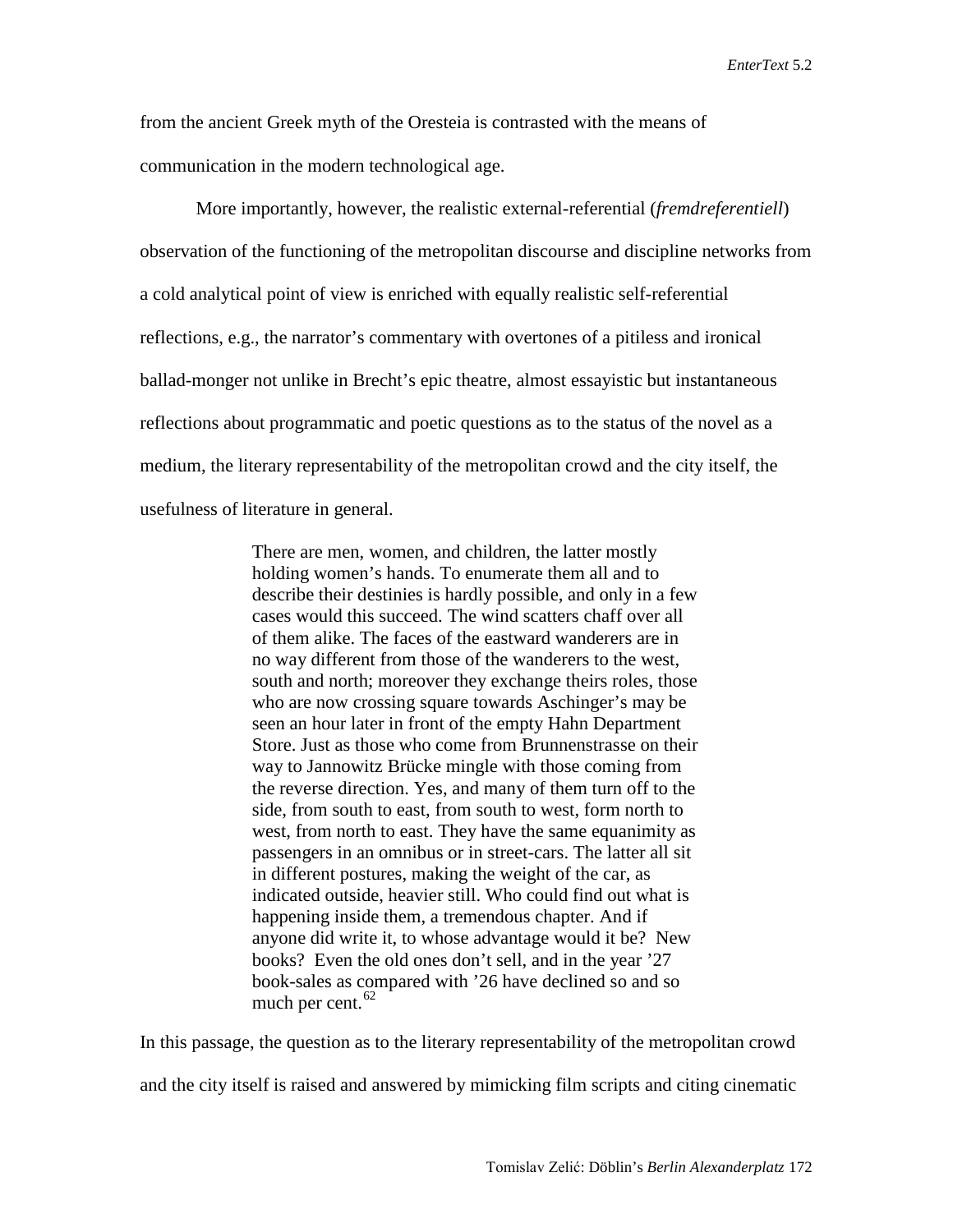from the ancient Greek myth of the Oresteia is contrasted with the means of communication in the modern technological age.

More importantly, however, the realistic external-referential (*fremdreferentiell*) observation of the functioning of the metropolitan discourse and discipline networks from a cold analytical point of view is enriched with equally realistic self-referential reflections, e.g., the narrator's commentary with overtones of a pitiless and ironical ballad-monger not unlike in Brecht's epic theatre, almost essayistic but instantaneous reflections about programmatic and poetic questions as to the status of the novel as a medium, the literary representability of the metropolitan crowd and the city itself, the usefulness of literature in general.

> There are men, women, and children, the latter mostly holding women's hands. To enumerate them all and to describe their destinies is hardly possible, and only in a few cases would this succeed. The wind scatters chaff over all of them alike. The faces of the eastward wanderers are in no way different from those of the wanderers to the west, south and north; moreover they exchange theirs roles, those who are now crossing square towards Aschinger's may be seen an hour later in front of the empty Hahn Department Store. Just as those who come from Brunnenstrasse on their way to Jannowitz Brücke mingle with those coming from the reverse direction. Yes, and many of them turn off to the side, from south to east, from south to west, form north to west, from north to east. They have the same equanimity as passengers in an omnibus or in street-cars. The latter all sit in different postures, making the weight of the car, as indicated outside, heavier still. Who could find out what is happening inside them, a tremendous chapter. And if anyone did write it, to whose advantage would it be? New books? Even the old ones don't sell, and in the year '27 book-sales as compared with '26 have declined so and so much per cent.<sup>[62](#page-21-12)</sup>

In this passage, the question as to the literary representability of the metropolitan crowd and the city itself is raised and answered by mimicking film scripts and citing cinematic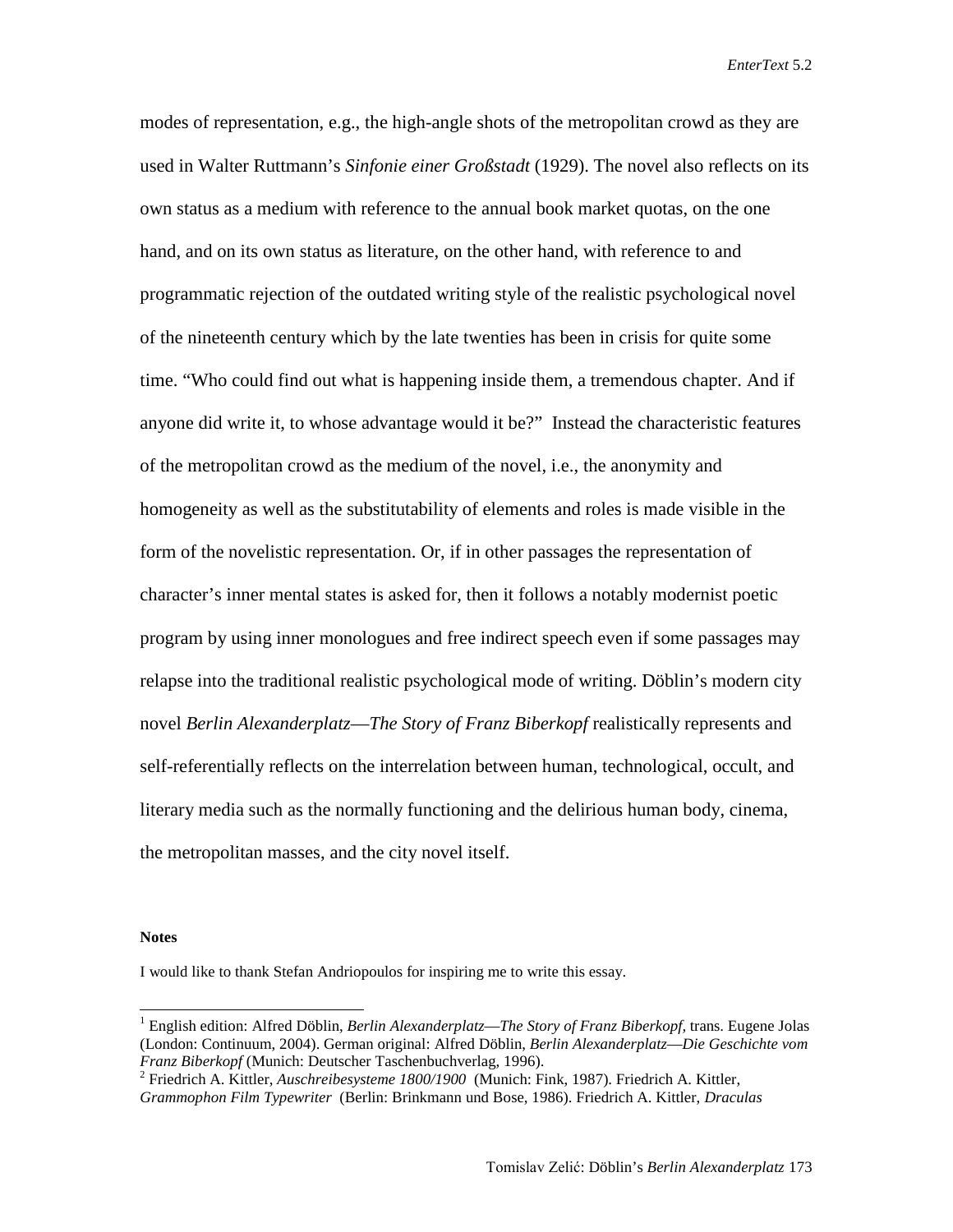modes of representation, e.g., the high-angle shots of the metropolitan crowd as they are used in Walter Ruttmann's *Sinfonie einer Großstadt* (1929). The novel also reflects on its own status as a medium with reference to the annual book market quotas, on the one hand, and on its own status as literature, on the other hand, with reference to and programmatic rejection of the outdated writing style of the realistic psychological novel of the nineteenth century which by the late twenties has been in crisis for quite some time. "Who could find out what is happening inside them, a tremendous chapter. And if anyone did write it, to whose advantage would it be?" Instead the characteristic features of the metropolitan crowd as the medium of the novel, i.e., the anonymity and homogeneity as well as the substitutability of elements and roles is made visible in the form of the novelistic representation. Or, if in other passages the representation of character's inner mental states is asked for, then it follows a notably modernist poetic program by using inner monologues and free indirect speech even if some passages may relapse into the traditional realistic psychological mode of writing. Döblin's modern city novel *Berlin Alexanderplatz*—*The Story of Franz Biberkopf* realistically represents and self-referentially reflects on the interrelation between human, technological, occult, and literary media such as the normally functioning and the delirious human body, cinema, the metropolitan masses, and the city novel itself.

#### **Notes**

I would like to thank Stefan Andriopoulos for inspiring me to write this essay.

 <sup>1</sup> English edition: Alfred Döblin, *Berlin Alexanderplatz*—*The Story of Franz Biberkopf,* trans. Eugene Jolas (London: Continuum, 2004). German original: Alfred Döblin, *Berlin Alexanderplatz*—*Die Geschichte vom* 

<sup>&</sup>lt;sup>2</sup> Friedrich A. Kittler, *Auschreibesysteme 1800/1900* (Munich: Fink, 1987). Friedrich A. Kittler, *Grammophon Film Typewriter* (Berlin: Brinkmann und Bose, 1986). Friedrich A. Kittler, *Draculas*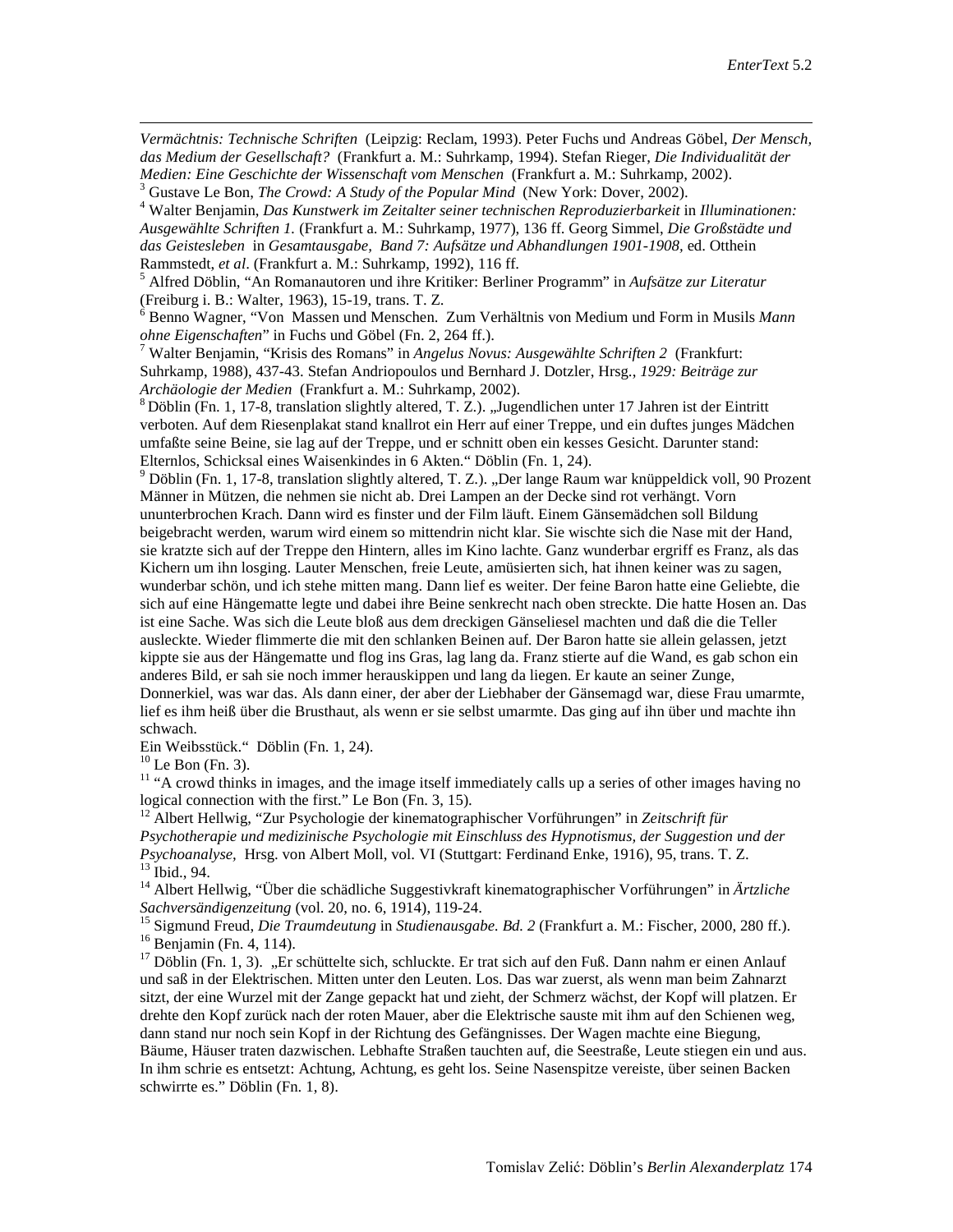*Vermächtnis: Technische Schriften* (Leipzig: Reclam, 1993). Peter Fuchs und Andreas Göbel, *Der Mensch, das Medium der Gesellschaft?* (Frankfurt a. M.: Suhrkamp, 1994). Stefan Rieger, *Die Individualität der*  Medien: Eine Geschichte der Wissenschaft vom Menschen (Frankfurt a. M.: Suhrkamp, 2002).<br><sup>3</sup> Gustave Le Bon, *The Crowd: A Study of the Popular Mind* (New York: Dover, 2002).<br><sup>4</sup> Walter Benjamin, *Das Kunstwerk im Zeitalte* 

*Ausgewählte Schriften 1.* (Frankfurt a. M.: Suhrkamp, 1977), 136 ff. Georg Simmel, *Die Großstädte und das Geistesleben* in *Gesamtausgabe, Band 7: Aufsätze und Abhandlungen 1901-1908,* ed. Otthein

Rammstedt, *et al.* (Frankfurt a. M.: Suhrkamp, 1992), 116 ff.<br><sup>5</sup> Alfred Döblin, "An Romanautoren und ihre Kritiker: Berliner Programm" in *Aufsätze zur Literatur* (Freiburg i. B.: Walter, 1963), 15-19, trans. T. Z.

<sup>6</sup> Benno Wagner, "Von Massen und Menschen. Zum Verhältnis von Medium und Form in Musils *Mann ohne Eigenschaften*" in Fuchs und Göbel (Fn. 2, 264 ff.).<br><sup>7</sup> Walter Benjamin, "Krisis des Romans" in *Angelus Novus: Ausgewählte Schriften 2* (Frankfurt:

Suhrkamp, 1988), 437-43. Stefan Andriopoulos und Bernhard J. Dotzler, Hrsg., *1929: Beiträge zur Archäologie der Medien* (Frankfurt a. M.: Suhrkamp, 2002).<br><sup>8</sup> Döblin (Fn. 1, 17-8, translation slightly altered, T. Z.). "Jugendlichen unter 17 Jahren ist der Eintritt

verboten. Auf dem Riesenplakat stand knallrot ein Herr auf einer Treppe, und ein duftes junges Mädchen umfaßte seine Beine, sie lag auf der Treppe, und er schnitt oben ein kesses Gesicht. Darunter stand:<br>Elternlos, Schicksal eines Waisenkindes in 6 Akten." Döblin (Fn. 1, 24).

 $^9$  Döblin (Fn. 1, 17-8, translation slightly altered, T. Z.). "Der lange Raum war knüppeldick voll, 90 Prozent Männer in Mützen, die nehmen sie nicht ab. Drei Lampen an der Decke sind rot verhängt. Vorn ununterbrochen Krach. Dann wird es finster und der Film läuft. Einem Gänsemädchen soll Bildung beigebracht werden, warum wird einem so mittendrin nicht klar. Sie wischte sich die Nase mit der Hand, sie kratzte sich auf der Treppe den Hintern, alles im Kino lachte. Ganz wunderbar ergriff es Franz, als das Kichern um ihn losging. Lauter Menschen, freie Leute, amüsierten sich, hat ihnen keiner was zu sagen, wunderbar schön, und ich stehe mitten mang. Dann lief es weiter. Der feine Baron hatte eine Geliebte, die sich auf eine Hängematte legte und dabei ihre Beine senkrecht nach oben streckte. Die hatte Hosen an. Das ist eine Sache. Was sich die Leute bloß aus dem dreckigen Gänseliesel machten und daß die die Teller ausleckte. Wieder flimmerte die mit den schlanken Beinen auf. Der Baron hatte sie allein gelassen, jetzt kippte sie aus der Hängematte und flog ins Gras, lag lang da. Franz stierte auf die Wand, es gab schon ein anderes Bild, er sah sie noch immer herauskippen und lang da liegen. Er kaute an seiner Zunge, Donnerkiel, was war das. Als dann einer, der aber der Liebhaber der Gänsemagd war, diese Frau umarmte, lief es ihm heiß über die Brusthaut, als wenn er sie selbst umarmte. Das ging auf ihn über und machte ihn

schwach.<br>Ein Weibsstück." Döblin (Fn. 1, 24).

 $\overline{a}$ 

<sup>10</sup> Le Bon (Fn. 3). <sup>11</sup> "A crowd thinks in images, and the image itself immediately calls up a series of other images having no logical connection with the first." Le Bon (Fn. 3, 15).

<sup>12</sup> Albert Hellwig, "Zur Psychologie der kinematographischer Vorführungen" in *Zeitschrift für Psychotherapie und medizinische Psychologie mit Einschluss des Hypnotismus, der Suggestion und der*  <sup>13</sup> Ibid., 94.<br><sup>14</sup> Albert Hellwig, "Über die schädliche Suggestivkraft kinematographischer Vorführungen" in Ärtzliche

Sachversändigenzeitung (vol. 20, no. 6, 1914), 119-24.<br>
<sup>15</sup> Sigmund Freud, *Die Traumdeutung* in *Studienausgabe. Bd.* 2 (Frankfurt a. M.: Fischer, 2000, 280 ff.).<br>
<sup>16</sup> Benjamin (Fn. 4, 114).<br>
<sup>17</sup> Döblin (Fn. 1, 3). "Er

<span id="page-18-1"></span><span id="page-18-0"></span>und saß in der Elektrischen. Mitten unter den Leuten. Los. Das war zuerst, als wenn man beim Zahnarzt sitzt, der eine Wurzel mit der Zange gepackt hat und zieht, der Schmerz wächst, der Kopf will platzen. Er drehte den Kopf zurück nach der roten Mauer, aber die Elektrische sauste mit ihm auf den Schienen weg, dann stand nur noch sein Kopf in der Richtung des Gefängnisses. Der Wagen machte eine Biegung, Bäume, Häuser traten dazwischen. Lebhafte Straßen tauchten auf, die Seestraße, Leute stiegen ein und aus. In ihm schrie es entsetzt: Achtung, Achtung, es geht los. Seine Nasenspitze vereiste, über seinen Backen schwirrte es." Döblin (Fn. 1, 8).

<span id="page-18-3"></span><span id="page-18-2"></span>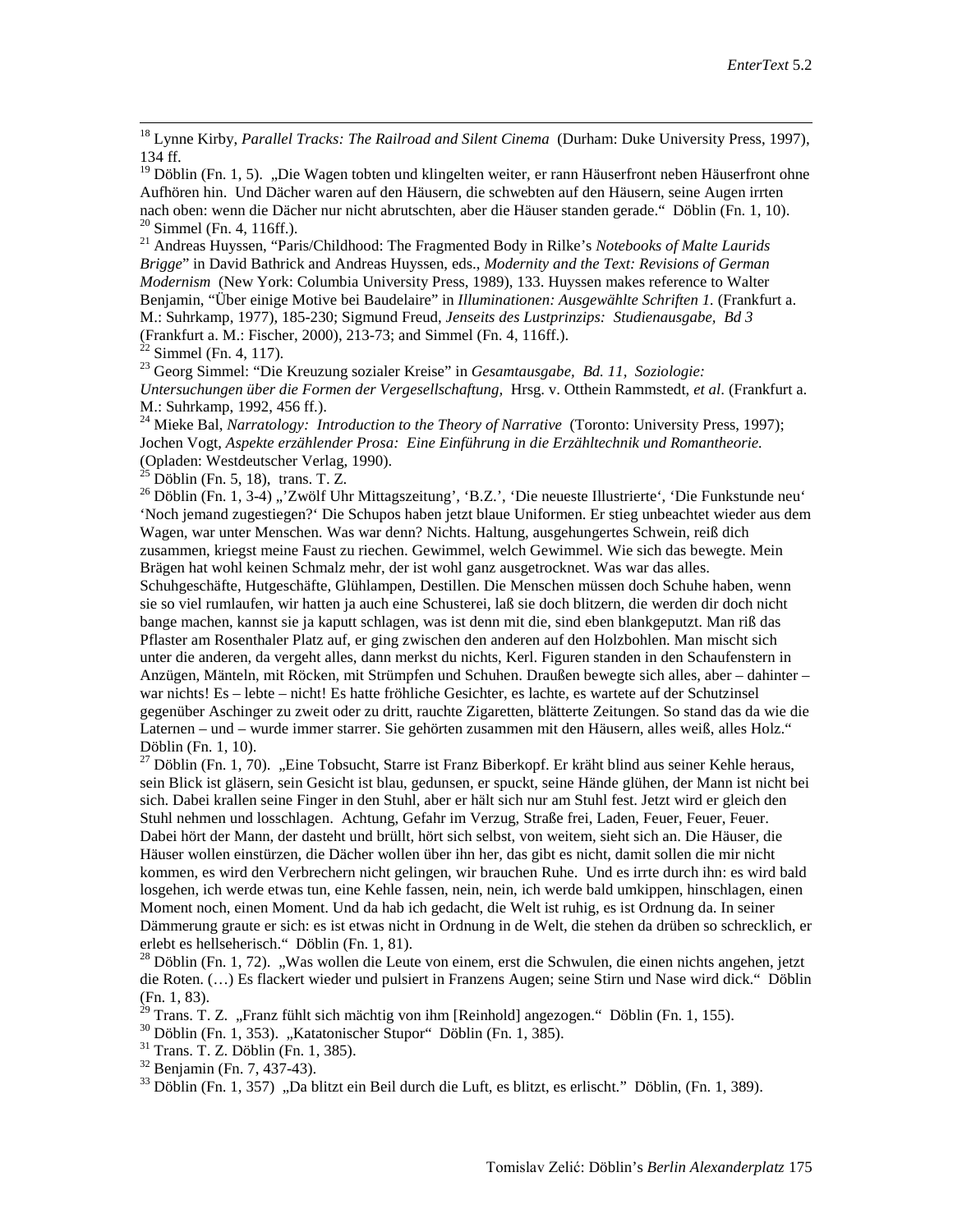18 Lynne Kirby, *Parallel Tracks: The Railroad and Silent Cinema* (Durham: Duke University Press, 1997), 134 ff.

 $19$  Döblin (Fn. 1, 5). "Die Wagen tobten und klingelten weiter, er rann Häuserfront neben Häuserfront ohne Aufhören hin. Und Dächer waren auf den Häusern, die schwebten auf den Häusern, seine Augen irrten nach oben: wenn die Dächer nur nicht abrutschten, aber die Häuser standen gerade." Döblin (Fn. 1, 10).<br><sup>20</sup> Simmel (Fn. 4, 116ff.).<br><sup>21</sup> Andreas Huyssen, "Paris/Childhood: The Fragmented Body in Rilke's *Notebooks of Malte* 

<span id="page-19-0"></span>*Brigge*" in David Bathrick and Andreas Huyssen, eds., *Modernity and the Text: Revisions of German Modernism* (New York: Columbia University Press, 1989), 133. Huyssen makes reference to Walter Benjamin, "Über einige Motive bei Baudelaire" in *Illuminationen: Ausgewählte Schriften 1.* (Frankfurt a. M.: Suhrkamp, 1977), 185-230; Sigmund Freud, *Jenseits des Lustprinzips: Studienausgabe, Bd 3*

<span id="page-19-2"></span><span id="page-19-1"></span><sup>22</sup> Simmel (Fn. 4, 117).<br><sup>23</sup> Georg Simmel: "Die Kreuzung sozialer Kreise" in *Gesamtausgabe, Bd. 11, Soziologie: Untersuchungen über die Formen der Vergesellschaftung,* Hrsg. v. Otthein Rammstedt, *et al*. (Frankfurt a. M.: Suhrkamp, 1992, 456 ff.).

<sup>24</sup> Mieke Bal, *Narratology: Introduction to the Theory of Narrative* (Toronto: University Press, 1997); Jochen Vogt, *Aspekte erzählender Prosa: Eine Einführung in die Erzähltechnik und Romantheorie.*  (Opladen: Westdeutscher Verlag, 1990).<br><sup>25</sup> Döblin (Fn. 5, 18), trans. T. Z.

 $^{26}$  Döblin (Fn. 1, 3-4) "'Zwölf Uhr Mittagszeitung', 'B.Z.', 'Die neueste Illustrierte', 'Die Funkstunde neu' 'Noch jemand zugestiegen?' Die Schupos haben jetzt blaue Uniformen. Er stieg unbeachtet wieder aus dem Wagen, war unter Menschen. Was war denn? Nichts. Haltung, ausgehungertes Schwein, reiß dich zusammen, kriegst meine Faust zu riechen. Gewimmel, welch Gewimmel. Wie sich das bewegte. Mein Brägen hat wohl keinen Schmalz mehr, der ist wohl ganz ausgetrocknet. Was war das alles. Schuhgeschäfte, Hutgeschäfte, Glühlampen, Destillen. Die Menschen müssen doch Schuhe haben, wenn

sie so viel rumlaufen, wir hatten ja auch eine Schusterei, laß sie doch blitzern, die werden dir doch nicht bange machen, kannst sie ja kaputt schlagen, was ist denn mit die, sind eben blankgeputzt. Man riß das Pflaster am Rosenthaler Platz auf, er ging zwischen den anderen auf den Holzbohlen. Man mischt sich unter die anderen, da vergeht alles, dann merkst du nichts, Kerl. Figuren standen in den Schaufenstern in Anzügen, Mänteln, mit Röcken, mit Strümpfen und Schuhen. Draußen bewegte sich alles, aber – dahinter – war nichts! Es – lebte – nicht! Es hatte fröhliche Gesichter, es lachte, es wartete auf der Schutzinsel gegenüber Aschinger zu zweit oder zu dritt, rauchte Zigaretten, blätterte Zeitungen. So stand das da wie die Laternen – und – wurde immer starrer. Sie gehörten zusammen mit den Häusern, alles weiß, alles Holz." Döblin (Fn. 1, 10).

 $^{27}$  Döblin (Fn. 1, 70). "Eine Tobsucht, Starre ist Franz Biberkopf. Er kräht blind aus seiner Kehle heraus, sein Blick ist gläsern, sein Gesicht ist blau, gedunsen, er spuckt, seine Hände glühen, der Mann ist nicht bei sich. Dabei krallen seine Finger in den Stuhl, aber er hält sich nur am Stuhl fest. Jetzt wird er gleich den Stuhl nehmen und losschlagen. Achtung, Gefahr im Verzug, Straße frei, Laden, Feuer, Feuer, Feuer. Dabei hört der Mann, der dasteht und brüllt, hört sich selbst, von weitem, sieht sich an. Die Häuser, die Häuser wollen einstürzen, die Dächer wollen über ihn her, das gibt es nicht, damit sollen die mir nicht kommen, es wird den Verbrechern nicht gelingen, wir brauchen Ruhe. Und es irrte durch ihn: es wird bald losgehen, ich werde etwas tun, eine Kehle fassen, nein, nein, ich werde bald umkippen, hinschlagen, einen Moment noch, einen Moment. Und da hab ich gedacht, die Welt ist ruhig, es ist Ordnung da. In seiner Dämmerung graute er sich: es ist etwas nicht in Ordnung in de Welt, die stehen da drüben so schrecklich, er erlebt es hellseherisch." Döblin (Fn. 1, 81).

<sup>28</sup> Döblin (Fn. 1, 72). "Was wollen die Leute von einem, erst die Schwulen, die einen nichts angehen, jetzt die Roten. (…) Es flackert wieder und pulsiert in Franzens Augen; seine Stirn und Nase wird dick." Döblin (Fn. 1, 83).

<sup>29</sup> Trans. T. Z. "Franz fühlt sich mächtig von ihm [Reinhold] angezogen." Döblin (Fn. 1, 155).<br><sup>30</sup> Döblin (Fn. 1, 353). "Katatonischer Stupor" Döblin (Fn. 1, 385).<br><sup>31</sup> Trans. T. Z. Döblin (Fn. 1, 385).<br><sup>32</sup> Benjamin (Fn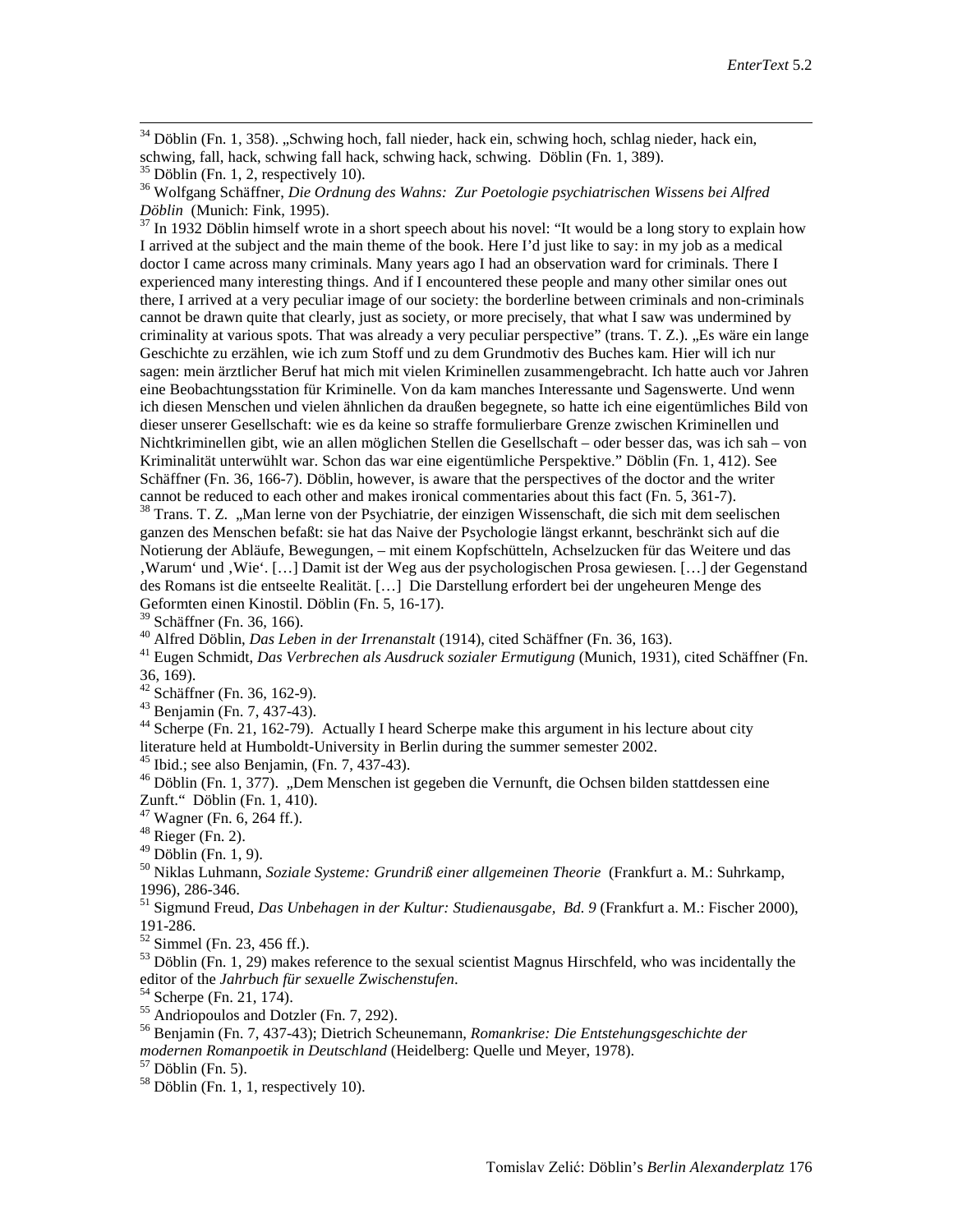<sup>34</sup> Döblin (Fn. 1, 358). "Schwing hoch, fall nieder, hack ein, schwing hoch, schlag nieder, hack ein, schwing, fall, hack, schwing fall hack, schwing hack, schwing. Döblin (Fn. 1, 389). <sup>35</sup> Döblin (Fn. 1, 2, respectively 10).

<sup>36</sup> Wolfgang Schäffner, *Die Ordnung des Wahns: Zur Poetologie psychiatrischen Wissens bei Alfred Döblin (Munich: Fink, 1995).* 

 $^{37}$  In 1932 Döblin himself wrote in a short speech about his novel: "It would be a long story to explain how I arrived at the subject and the main theme of the book. Here I'd just like to say: in my job as a medical doctor I came across many criminals. Many years ago I had an observation ward for criminals. There I experienced many interesting things. And if I encountered these people and many other similar ones out there, I arrived at a very peculiar image of our society: the borderline between criminals and non-criminals cannot be drawn quite that clearly, just as society, or more precisely, that what I saw was undermined by criminality at various spots. That was already a very peculiar perspective" (trans. T. Z.). "Es wäre ein lange Geschichte zu erzählen, wie ich zum Stoff und zu dem Grundmotiv des Buches kam. Hier will ich nur sagen: mein ärztlicher Beruf hat mich mit vielen Kriminellen zusammengebracht. Ich hatte auch vor Jahren eine Beobachtungsstation für Kriminelle. Von da kam manches Interessante und Sagenswerte. Und wenn ich diesen Menschen und vielen ähnlichen da draußen begegnete, so hatte ich eine eigentümliches Bild von dieser unserer Gesellschaft: wie es da keine so straffe formulierbare Grenze zwischen Kriminellen und Nichtkriminellen gibt, wie an allen möglichen Stellen die Gesellschaft – oder besser das, was ich sah – von Kriminalität unterwühlt war. Schon das war eine eigentümliche Perspektive." Döblin (Fn. 1, 412). See Schäffner (Fn. 36, 166-7). Döblin, however, is aware that the perspectives of the doctor and the writer cannot be reduced to each other and makes ironical commentaries about this fact (Fn. 5, 361-7).

<span id="page-20-1"></span><span id="page-20-0"></span><sup>38</sup> Trans. T. Z. "Man lerne von der Psychiatrie, der einzigen Wissenschaft, die sich mit dem seelischen ganzen des Menschen befaßt: sie hat das Naive der Psychologie längst erkannt, beschränkt sich auf die Notierung der Abläufe, Bewegungen, – mit einem Kopfschütteln, Achselzucken für das Weitere und das 'Warum' und 'Wie'. […] Damit ist der Weg aus der psychologischen Prosa gewiesen. […] der Gegenstand des Romans ist die entseelte Realität. […] Die Darstellung erfordert bei der ungeheuren Menge des Geformten einen Kinostil. Döblin (Fn. 5, 16-17).<br><sup>39</sup> Schäffner (Fn. 36, 166).

<sup>40</sup> Alfred Döblin, *Das Leben in der Irrenanstalt* (1914), cited Schäffner (Fn. 36, 163).<br><sup>41</sup> Eugen Schmidt, *Das Verbrechen als Ausdruck sozialer Ermutigung* (Munich, 1931), cited Schäffner (Fn. 36, 169).<br><sup>42</sup> Schäffner (Fn. 36, 162-9).

<sup>43</sup> Benjamin (Fn. 7, 437-43).<br><sup>44</sup> Scherpe (Fn. 21, 162-79). Actually I heard Scherpe make this argument in his lecture about city literature held at Humboldt-University in Berlin during the summer semester 2002.

<span id="page-20-2"></span>46 Ibid.; see also Benjamin, (Fn. 7, 437-43).<br><sup>46</sup> Döblin (Fn. 1, 377). "Dem Menschen ist gegeben die Vernunft, die Ochsen bilden stattdessen eine Zunft." Döblin (Fn. 1, 410).<br><sup>47</sup> Wagner (Fn. 6, 264 ff.).<br><sup>48</sup> Rieger (Fn. 2).<br><sup>49</sup> Döblin (Fn. 1, 9).

<sup>50</sup> Niklas Luhmann, *Soziale Systeme: Grundriß einer allgemeinen Theorie* (Frankfurt a. M.: Suhrkamp, 1996), 286-346.

<sup>51</sup> Sigmund Freud, *Das Unbehagen in der Kultur: Studienausgabe, Bd. 9* (Frankfurt a. M.: Fischer 2000), 191-286.

<sup>52</sup> Simmel (Fn. 23, 456 ff.).<br><sup>53</sup> Döblin (Fn. 1, 29) makes reference to the sexual scientist Magnus Hirschfeld, who was incidentally the editor of the *Jahrbuch für sexuelle Zwischenstufen*.<br>
<sup>54</sup> Scherpe (Fn. 21, 174).<br>
<sup>55</sup> Andriopoulos and Dotzler (Fn. 7, 292).<br>
<sup>56</sup> Benjamin (Fn. 7, 437-43); Dietrich Scheunemann, *Romankrise: Die Entstehungsgeschichte* 

*modernen Romanpoetik in Deutschland* (Heidelberg: Quelle und Meyer, 1978).<br><sup>57</sup> Döblin (Fn. 5).<br><sup>58</sup> Döblin (Fn. 1, 1, respectively 10).